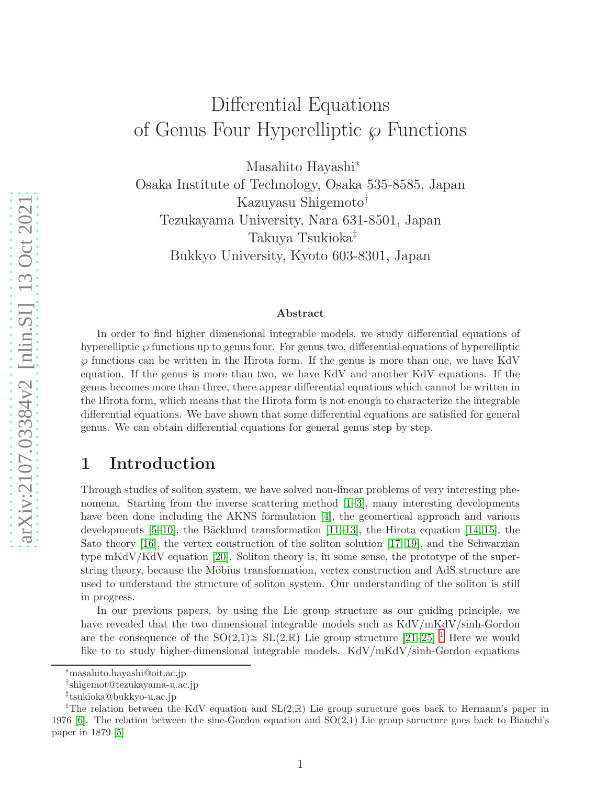# Differential Equations of Genus Four Hyperelliptic  $\wp$  Functions

Masahito Hayashi<sup>∗</sup>

Osaka Institute of Technology, Osaka 535-8585, Japan Kazuyasu Shigemoto† Tezukayama University, Nara 631-8501, Japan Takuya Tsukioka‡ Bukkyo University, Kyoto 603-8301, Japan

#### Abstract

In order to find higher dimensional integrable models, we study differential equations of hyperelliptic  $\wp$  functions up to genus four. For genus two, differential equations of hyperelliptic  $\wp$  functions can be written in the Hirota form. If the genus is more than one, we have KdV equation. If the genus is more than two, we have KdV and another KdV equations. If the genus becomes more than three, there appear differential equations which cannot be written in the Hirota form, which means that the Hirota form is not enough to characterize the integrable differential equations. We have shown that some differential equations are satisfied for general genus. We can obtain differential equations for general genus step by step.

## 1 Introduction

Through studies of soliton system, we have solved non-linear problems of very interesting phenomena. Starting from the inverse scattering method [\[1](#page-17-0)[–3\]](#page-17-1), many interesting developments have been done including the AKNS formulation [\[4\]](#page-17-2), the geomertical approach and various developments  $[5-10]$ , the Bäcklund transformation  $[11-13]$  $[11-13]$ , the Hirota equation  $[14, 15]$  $[14, 15]$ , the Sato theory [\[16\]](#page-17-9), the vertex construction of the soliton solution [\[17](#page-17-10)[–19\]](#page-17-11), and the Schwarzian type mKdV/KdV equation [\[20\]](#page-17-12). Soliton theory is, in some sense, the prototype of the superstring theory, because the Möbius transformation, vertex construction and AdS structure are used to understand the structure of soliton system. Our understanding of the soliton is still in progress.

In our previous papers, by using the Lie group structure as our guiding principle, we have revealed that the two dimensional integrable models such as KdV/mKdV/sinh-Gordon are the consequence of the  $SO(2,1)\cong SL(2,\mathbb{R})$  $SO(2,1)\cong SL(2,\mathbb{R})$  $SO(2,1)\cong SL(2,\mathbb{R})$  Lie group structure  $[21-25]$ <sup>1</sup> Here we would like to to study higher-dimensional integrable models. KdV/mKdV/sinh-Gordon equations

<sup>∗</sup>masahito.hayashi@oit.ac.jp

<sup>†</sup> shigemot@tezukayama-u.ac.jp

<sup>‡</sup> tsukioka@bukkyo-u.ac.jp

<span id="page-0-0"></span><sup>&</sup>lt;sup>1</sup>The relation between the KdV equation and  $SL(2,\mathbb{R})$  Lie group suructure goes back to Hermann's paper in 1976 [\[6\]](#page-17-15). The relation between the sine-Gordon equation and  $SO(2,1)$  Lie group suructure goes back to Bianchi's paper in 1879 [\[5\]](#page-17-3)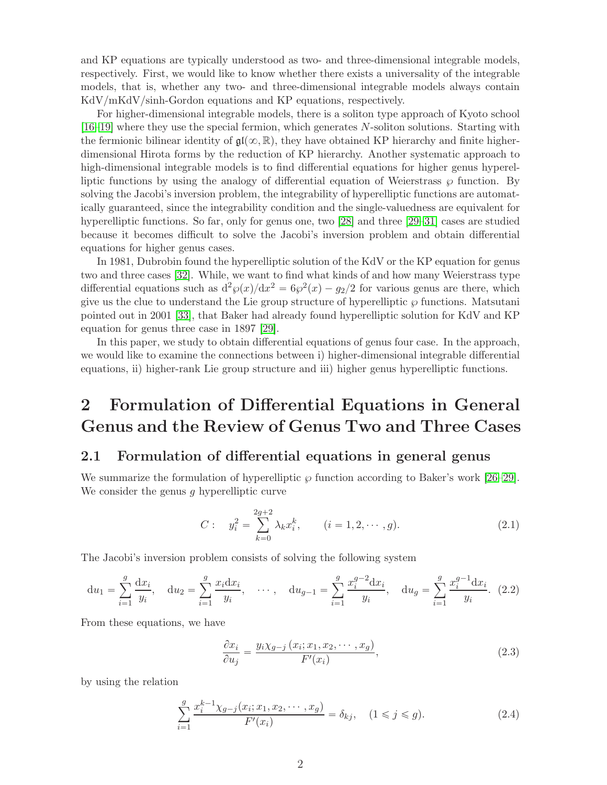and KP equations are typically understood as two- and three-dimensional integrable models, respectively. First, we would like to know whether there exists a universality of the integrable models, that is, whether any two- and three-dimensional integrable models always contain KdV/mKdV/sinh-Gordon equations and KP equations, respectively.

For higher-dimensional integrable models, there is a soliton type approach of Kyoto school [\[16](#page-17-9)[–19\]](#page-17-11) where they use the special fermion, which generates N-soliton solutions. Starting with the fermionic bilinear identity of  $\mathfrak{gl}(\infty,\mathbb{R})$ , they have obtained KP hierarchy and finite higherdimensional Hirota forms by the reduction of KP hierarchy. Another systematic approach to high-dimensional integrable models is to find differential equations for higher genus hyperelliptic functions by using the analogy of differential equation of Weierstrass  $\wp$  function. By solving the Jacobi's inversion problem, the integrability of hyperelliptic functions are automatically guaranteed, since the integrability condition and the single-valuedness are equivalent for hyperelliptic functions. So far, only for genus one, two [\[28\]](#page-17-16) and three [\[29](#page-18-0)[–31\]](#page-18-1) cases are studied because it becomes difficult to solve the Jacobi's inversion problem and obtain differential equations for higher genus cases.

In 1981, Dubrobin found the hyperelliptic solution of the KdV or the KP equation for genus two and three cases [\[32\]](#page-18-2). While, we want to find what kinds of and how many Weierstrass type differential equations such as  $d^2\wp(x)/dx^2 = 6\wp^2(x) - g_2/2$  for various genus are there, which give us the clue to understand the Lie group structure of hyperelliptic  $\wp$  functions. Matsutani pointed out in 2001 [\[33\]](#page-18-3), that Baker had already found hyperelliptic solution for KdV and KP equation for genus three case in 1897 [\[29\]](#page-18-0).

In this paper, we study to obtain differential equations of genus four case. In the approach, we would like to examine the connections between i) higher-dimensional integrable differential equations, ii) higher-rank Lie group structure and iii) higher genus hyperelliptic functions.

## 2 Formulation of Differential Equations in General Genus and the Review of Genus Two and Three Cases

### 2.1 Formulation of differential equations in general genus

We summarize the formulation of hyperelliptic  $\wp$  function according to Baker's work [\[26–](#page-17-17)[29\]](#page-18-0). We consider the genus  $q$  hyperelliptic curve

$$
C: \t y_i^2 = \sum_{k=0}^{2g+2} \lambda_k x_i^k, \t (i = 1, 2, \cdots, g).
$$
\t(2.1)

The Jacobi's inversion problem consists of solving the following system

$$
du_1 = \sum_{i=1}^{g} \frac{dx_i}{y_i}, \quad du_2 = \sum_{i=1}^{g} \frac{x_i dx_i}{y_i}, \quad \cdots, \quad du_{g-1} = \sum_{i=1}^{g} \frac{x_i^{g-2} dx_i}{y_i}, \quad du_g = \sum_{i=1}^{g} \frac{x_i^{g-1} dx_i}{y_i}. \tag{2.2}
$$

From these equations, we have

<span id="page-1-1"></span>
$$
\frac{\partial x_i}{\partial u_j} = \frac{y_i \chi_{g-j} (x_i; x_1, x_2, \cdots, x_g)}{F'(x_i)},
$$
\n(2.3)

by using the relation

<span id="page-1-0"></span>
$$
\sum_{i=1}^{g} \frac{x_i^{k-1} \chi_{g-j}(x_i; x_1, x_2, \cdots, x_g)}{F'(x_i)} = \delta_{kj}, \quad (1 \le j \le g). \tag{2.4}
$$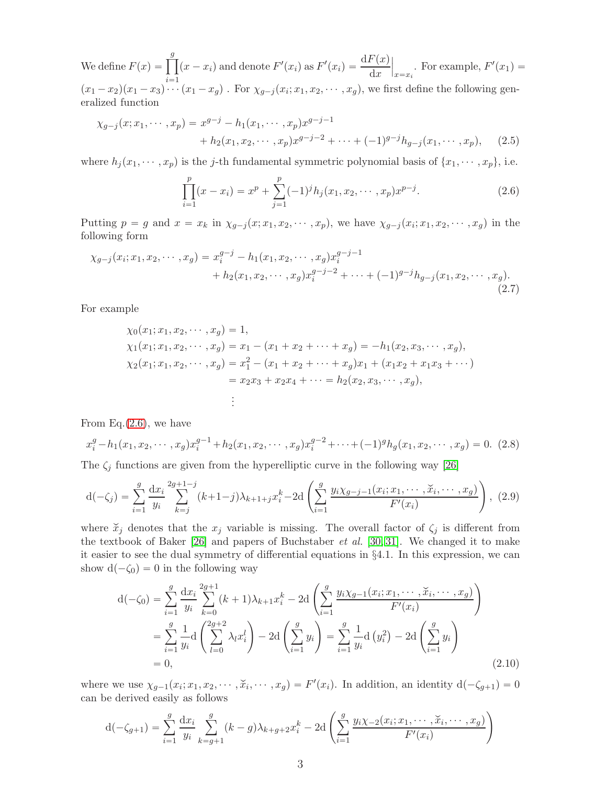We define  $F(x) = \prod^g$  $\overline{i} = 1$  $(x - x_i)$  and denote  $F'(x_i)$  as  $F'(x_i) = \frac{dF(x)}{dx}$  $\Big|_{x=x_i}$ . For example,  $F'(x_1) =$  $(x_1-x_2)(x_1-x_3)\cdots(x_1-x_g)$ . For  $\chi_{g-j}(x_i; x_1, x_2, \cdots, x_g)$ , we first define the following generalized function

$$
\chi_{g-j}(x; x_1, \cdots, x_p) = x^{g-j} - h_1(x_1, \cdots, x_p)x^{g-j-1} + h_2(x_1, x_2, \cdots, x_p)x^{g-j-2} + \cdots + (-1)^{g-j}h_{g-j}(x_1, \cdots, x_p), \quad (2.5)
$$

where  $h_j(x_1, \dots, x_p)$  is the j-th fundamental symmetric polynomial basis of  $\{x_1, \dots, x_p\}$ , i.e.

<span id="page-2-3"></span><span id="page-2-0"></span>
$$
\prod_{i=1}^{p} (x - x_i) = x^p + \sum_{j=1}^{p} (-1)^j h_j(x_1, x_2, \cdots, x_p) x^{p-j}.
$$
\n(2.6)

Putting  $p = g$  and  $x = x_k$  in  $\chi_{g-j}(x; x_1, x_2, \dots, x_p)$ , we have  $\chi_{g-j}(x_i; x_1, x_2, \dots, x_g)$  in the following form

$$
\chi_{g-j}(x_i; x_1, x_2, \cdots, x_g) = x_i^{g-j} - h_1(x_1, x_2, \cdots, x_g) x_i^{g-j-1} + h_2(x_1, x_2, \cdots, x_g) x_i^{g-j-2} + \cdots + (-1)^{g-j} h_{g-j}(x_1, x_2, \cdots, x_g).
$$
\n(2.7)

For example

$$
\chi_0(x_1; x_1, x_2, \cdots, x_g) = 1,\n\chi_1(x_1; x_1, x_2, \cdots, x_g) = x_1 - (x_1 + x_2 + \cdots + x_g) = -h_1(x_2, x_3, \cdots, x_g),\n\chi_2(x_1; x_1, x_2, \cdots, x_g) = x_1^2 - (x_1 + x_2 + \cdots + x_g)x_1 + (x_1x_2 + x_1x_3 + \cdots) = x_2x_3 + x_2x_4 + \cdots = h_2(x_2, x_3, \cdots, x_g),\vdots
$$

From Eq. $(2.6)$ , we have

<span id="page-2-4"></span>
$$
x_i^g - h_1(x_1, x_2, \cdots, x_g)x_i^{g-1} + h_2(x_1, x_2, \cdots, x_g)x_i^{g-2} + \cdots + (-1)^g h_g(x_1, x_2, \cdots, x_g) = 0.
$$
 (2.8)

The  $\zeta_j$  functions are given from the hyperelliptic curve in the following way [\[26\]](#page-17-17)

<span id="page-2-1"></span>
$$
d(-\zeta_j) = \sum_{i=1}^g \frac{dx_i}{y_i} \sum_{k=j}^{2g+1-j} (k+1-j)\lambda_{k+1+j} x_i^k - 2d\left(\sum_{i=1}^g \frac{y_i \chi_{g-j-1}(x_i; x_1, \cdots, \check{x}_i, \cdots, x_g)}{F'(x_i)}\right), (2.9)
$$

where  $\tilde{x}_j$  denotes that the  $x_j$  variable is missing. The overall factor of  $\zeta_j$  is different from the textbook of Baker [\[26\]](#page-17-17) and papers of Buchstaber *et al.* [\[30,](#page-18-4) [31\]](#page-18-1). We changed it to make it easier to see the dual symmetry of differential equations in §4.1. In this expression, we can show  $d(-\zeta_0) = 0$  in the following way

<span id="page-2-2"></span>
$$
d(-\zeta_0) = \sum_{i=1}^{g} \frac{dx_i}{y_i} \sum_{k=0}^{2g+1} (k+1)\lambda_{k+1} x_i^k - 2d\left(\sum_{i=1}^{g} \frac{y_i \chi_{g-1}(x_i; x_1, \cdots, \check{x}_i, \cdots, x_g)}{F'(x_i)}\right)
$$
  
= 
$$
\sum_{i=1}^{g} \frac{1}{y_i} d\left(\sum_{l=0}^{2g+2} \lambda_l x_i^l\right) - 2d\left(\sum_{i=1}^{g} y_i\right) = \sum_{i=1}^{g} \frac{1}{y_i} d\left(y_i^2\right) - 2d\left(\sum_{i=1}^{g} y_i\right)
$$
  
= 0, (2.10)

where we use  $\chi_{g-1}(x_i; x_1, x_2, \dots, \check{x}_i, \dots, x_g) = F'(x_i)$ . In addition, an identity  $d(-\zeta_{g+1}) = 0$ can be derived easily as follows

$$
d(-\zeta_{g+1}) = \sum_{i=1}^{g} \frac{dx_i}{y_i} \sum_{k=g+1}^{g} (k-g)\lambda_{k+g+2} x_i^k - 2d\left(\sum_{i=1}^{g} \frac{y_i \chi_{-2}(x_i; x_1, \cdots, \check{x}_i, \cdots, x_g)}{F'(x_i)}\right)
$$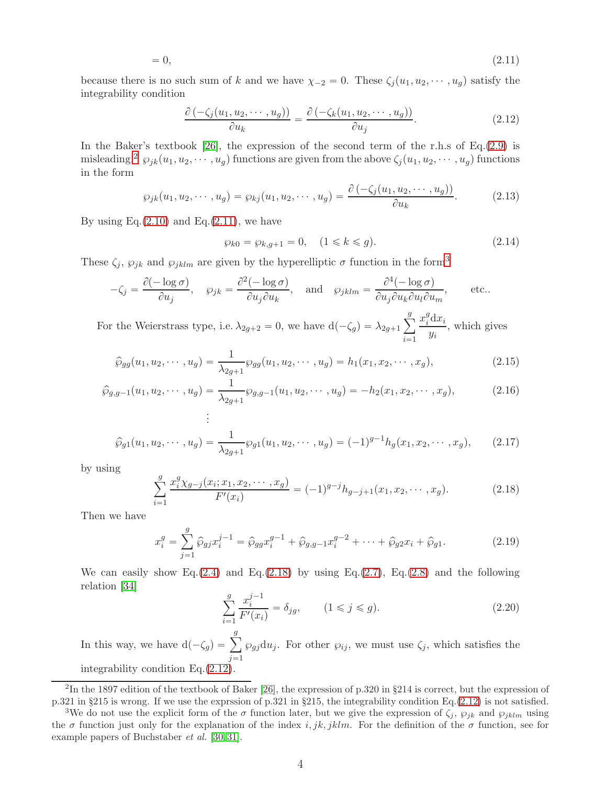$$
=0,\t(2.11)
$$

because there is no such sum of k and we have  $\chi_{-2} = 0$ . These  $\zeta_j(u_1, u_2, \dots, u_g)$  satisfy the integrability condition

<span id="page-3-4"></span><span id="page-3-1"></span>
$$
\frac{\partial \left( -\zeta_j(u_1, u_2, \cdots, u_g) \right)}{\partial u_k} = \frac{\partial \left( -\zeta_k(u_1, u_2, \cdots, u_g) \right)}{\partial u_j}.
$$
\n(2.12)

In the Baker's textbook [\[26\]](#page-17-17), the expression of the second term of the r.h.s of Eq.[\(2.9\)](#page-2-1) is misleading.<sup>[2](#page-3-0)</sup>  $\wp_{jk}(u_1, u_2, \cdots, u_g)$  functions are given from the above  $\zeta_j(u_1, u_2, \cdots, u_g)$  functions in the form

$$
\wp_{jk}(u_1, u_2, \cdots, u_g) = \wp_{kj}(u_1, u_2, \cdots, u_g) = \frac{\partial \left( -\zeta_j(u_1, u_2, \cdots, u_g) \right)}{\partial u_k}.
$$
 (2.13)

By using  $Eq.(2.10)$  $Eq.(2.10)$  and  $Eq.(2.11)$  $Eq.(2.11)$ , we have

$$
\wp_{k0} = \wp_{k,g+1} = 0, \quad (1 \le k \le g). \tag{2.14}
$$

These  $\zeta_j$ ,  $\wp_{jk}$  and  $\wp_{jklm}$  are given by the hyperelliptic  $\sigma$  function in the form<sup>[3](#page-3-2)</sup>

$$
-\zeta_j = \frac{\partial(-\log \sigma)}{\partial u_j}, \quad \wp_{jk} = \frac{\partial^2(-\log \sigma)}{\partial u_j \partial u_k}, \quad \text{and} \quad \wp_{jklm} = \frac{\partial^4(-\log \sigma)}{\partial u_j \partial u_k \partial u_l \partial u_m}, \quad \text{etc...}
$$

For the Weierstrass type, i.e.  $\lambda_{2g+2} = 0$ , we have  $d(-\zeta_g) = \lambda_{2g+1} \sum_{j=1}^{g}$  $\sum_{i=1}$  $x_i^g$  $\int_{i}^{g} dx_i$  $\frac{d}{y_i}$ , which gives

$$
\widehat{\wp}_{gg}(u_1, u_2, \cdots, u_g) = \frac{1}{\lambda_{2g+1}} \wp_{gg}(u_1, u_2, \cdots, u_g) = h_1(x_1, x_2, \cdots, x_g),\tag{2.15}
$$

$$
\hat{\wp}_{g,g-1}(u_1, u_2, \cdots, u_g) = \frac{1}{\lambda_{2g+1}} \wp_{g,g-1}(u_1, u_2, \cdots, u_g) = -h_2(x_1, x_2, \cdots, x_g),
$$
\n(2.16)

$$
\widehat{\wp}_{g1}(u_1, u_2, \cdots, u_g) = \frac{1}{\lambda_{2g+1}} \wp_{g1}(u_1, u_2, \cdots, u_g) = (-1)^{g-1} h_g(x_1, x_2, \cdots, x_g), \quad (2.17)
$$

by using

<span id="page-3-3"></span>
$$
\sum_{i=1}^{g} \frac{x_i^g \chi_{g-j}(x_i; x_1, x_2, \cdots, x_g)}{F'(x_i)} = (-1)^{g-j} h_{g-j+1}(x_1, x_2, \cdots, x_g). \tag{2.18}
$$

Then we have

<span id="page-3-5"></span>
$$
x_i^g = \sum_{j=1}^g \hat{\wp}_{gj} x_i^{j-1} = \hat{\wp}_{gg} x_i^{g-1} + \hat{\wp}_{g,g-1} x_i^{g-2} + \dots + \hat{\wp}_{g2} x_i + \hat{\wp}_{g1}.
$$
 (2.19)

We can easily show Eq.[\(2.4\)](#page-1-0) and Eq.[\(2.18\)](#page-3-3) by using Eq.[\(2.7\)](#page-2-3), Eq.[\(2.8\)](#page-2-4) and the following relation [\[34\]](#page-18-5)

$$
\sum_{i=1}^{g} \frac{x_i^{j-1}}{F'(x_i)} = \delta_{jg}, \qquad (1 \le j \le g). \tag{2.20}
$$

In this way, we have  $d(-\zeta_g) = \sum_{i=1}^g$  $\overline{j=1}$  $\wp_{gj}du_j$ . For other  $\wp_{ij}$ , we must use  $\zeta_j$ , which satisfies the integrability condition Eq.[\(2.12\)](#page-3-4).

<span id="page-3-0"></span><sup>&</sup>lt;sup>2</sup>In the 1897 edition of the textbook of Baker [\[26\]](#page-17-17), the expression of p.320 in §214 is correct, but the expression of p.321 in §215 is wrong. If we use the exprssion of p.321 in §215, the integrability condition Eq.[\(2.12\)](#page-3-4) is not satisfied.

<span id="page-3-2"></span><sup>&</sup>lt;sup>3</sup>We do not use the explicit form of the  $\sigma$  function later, but we give the expression of  $\zeta_j$ ,  $\wp_{jk}$  and  $\wp_{jklm}$  using the  $\sigma$  function just only for the explanation of the index i, jk, jklm. For the definition of the  $\sigma$  function, see for example papers of Buchstaber et al. [\[30,](#page-18-4) [31\]](#page-18-1).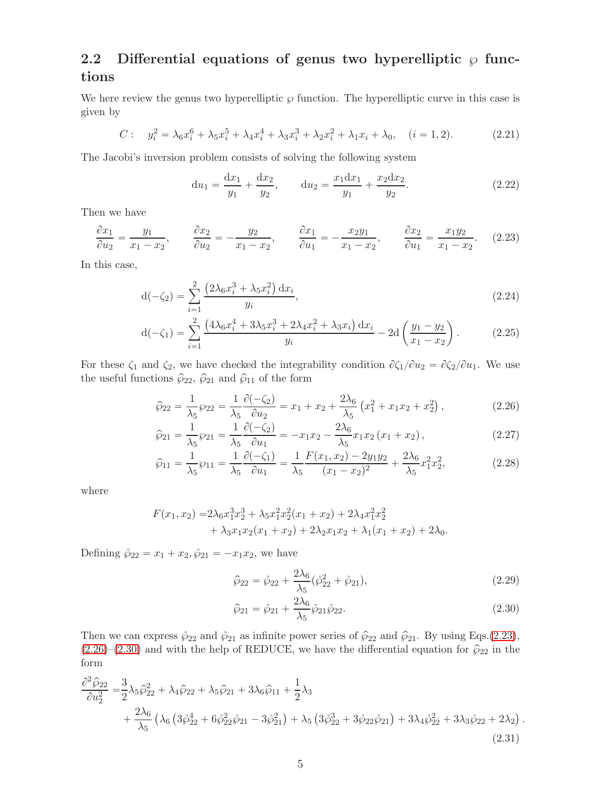### 2.2 Differential equations of genus two hyperelliptic  $\wp$  functions

We here review the genus two hyperelliptic  $\wp$  function. The hyperelliptic curve in this case is given by

<span id="page-4-3"></span>
$$
C: \quad y_i^2 = \lambda_6 x_i^6 + \lambda_5 x_i^5 + \lambda_4 x_i^4 + \lambda_3 x_i^3 + \lambda_2 x_i^2 + \lambda_1 x_i + \lambda_0, \quad (i = 1, 2). \tag{2.21}
$$

The Jacobi's inversion problem consists of solving the following system

$$
du_1 = \frac{dx_1}{y_1} + \frac{dx_2}{y_2}, \qquad du_2 = \frac{x_1 dx_1}{y_1} + \frac{x_2 dx_2}{y_2}.
$$
 (2.22)

Then we have

<span id="page-4-0"></span>
$$
\frac{\partial x_1}{\partial u_2} = \frac{y_1}{x_1 - x_2}, \qquad \frac{\partial x_2}{\partial u_2} = -\frac{y_2}{x_1 - x_2}, \qquad \frac{\partial x_1}{\partial u_1} = -\frac{x_2 y_1}{x_1 - x_2}, \qquad \frac{\partial x_2}{\partial u_1} = \frac{x_1 y_2}{x_1 - x_2}.
$$
 (2.23)

In this case,

$$
d(-\zeta_2) = \sum_{i=1}^{2} \frac{\left(2\lambda_6 x_i^3 + \lambda_5 x_i^2\right) dx_i}{y_i},\tag{2.24}
$$

$$
d(-\zeta_1) = \sum_{i=1}^2 \frac{\left(4\lambda_6 x_i^4 + 3\lambda_5 x_i^3 + 2\lambda_4 x_i^2 + \lambda_3 x_i\right) dx_i}{y_i} - 2d\left(\frac{y_1 - y_2}{x_1 - x_2}\right). \tag{2.25}
$$

For these  $\zeta_1$  and  $\zeta_2$ , we have checked the integrability condition  $\partial \zeta_1/\partial u_2 = \partial \zeta_2/\partial u_1$ . We use the useful functions  $\hat{\wp}_{22}$ ,  $\hat{\wp}_{21}$  and  $\hat{\wp}_{11}$  of the form

$$
\hat{\wp}_{22} = \frac{1}{\lambda_5} \wp_{22} = \frac{1}{\lambda_5} \frac{\partial (-\zeta_2)}{\partial u_2} = x_1 + x_2 + \frac{2\lambda_6}{\lambda_5} \left( x_1^2 + x_1 x_2 + x_2^2 \right),\tag{2.26}
$$

$$
\hat{\wp}_{21} = \frac{1}{\lambda_5} \wp_{21} = \frac{1}{\lambda_5} \frac{\partial (-\zeta_2)}{\partial u_1} = -x_1 x_2 - \frac{2\lambda_6}{\lambda_5} x_1 x_2 (x_1 + x_2), \qquad (2.27)
$$

$$
\widehat{\wp}_{11} = \frac{1}{\lambda_5} \wp_{11} = \frac{1}{\lambda_5} \frac{\partial (-\zeta_1)}{\partial u_1} = \frac{1}{\lambda_5} \frac{F(x_1, x_2) - 2y_1 y_2}{(x_1 - x_2)^2} + \frac{2\lambda_6}{\lambda_5} x_1^2 x_2^2,
$$
\n(2.28)

where

$$
F(x_1, x_2) = 2\lambda_6 x_1^3 x_2^3 + \lambda_5 x_1^2 x_2^2 (x_1 + x_2) + 2\lambda_4 x_1^2 x_2^2
$$
  
+  $\lambda_3 x_1 x_2 (x_1 + x_2) + 2\lambda_2 x_1 x_2 + \lambda_1 (x_1 + x_2) + 2\lambda_0$ .

Defining  $\hat{\wp}_{22} = x_1 + x_2, \hat{\wp}_{21} = -x_1x_2$ , we have

<span id="page-4-1"></span>
$$
\hat{\wp}_{22} = \mathring{\wp}_{22} + \frac{2\lambda_6}{\lambda_5} (\mathring{\wp}_{22}^2 + \mathring{\wp}_{21}),\tag{2.29}
$$

<span id="page-4-2"></span>
$$
\hat{\wp}_{21} = \mathring{\wp}_{21} + \frac{2\lambda_6}{\lambda_5} \mathring{\wp}_{21} \mathring{\wp}_{22}.
$$
\n(2.30)

Then we can express  $\hat{\varphi}_{22}$  and  $\hat{\varphi}_{21}$  as infinite power series of  $\hat{\varphi}_{22}$  and  $\hat{\varphi}_{21}$ . By using Eqs.[\(2.23\)](#page-4-0),  $(2.26)-(2.30)$  $(2.26)-(2.30)$  $(2.26)-(2.30)$  and with the help of REDUCE, we have the differential equation for  $\hat{\wp}_{22}$  in the form

$$
\frac{\partial^2 \hat{\wp}_{22}}{\partial u_2^2} = \frac{3}{2} \lambda_5 \hat{\wp}_{22}^2 + \lambda_4 \hat{\wp}_{22} + \lambda_5 \hat{\wp}_{21} + 3\lambda_6 \hat{\wp}_{11} + \frac{1}{2} \lambda_3 \n+ \frac{2\lambda_6}{\lambda_5} \left( \lambda_6 \left( 3\hat{\wp}_{22}^4 + 6\hat{\wp}_{22}^2 \hat{\wp}_{21} - 3\hat{\wp}_{21}^2 \right) + \lambda_5 \left( 3\hat{\wp}_{22}^3 + 3\hat{\wp}_{22} \hat{\wp}_{21} \right) + 3\lambda_4 \hat{\wp}_{22}^2 + 3\lambda_3 \hat{\wp}_{22} + 2\lambda_2 \right).
$$
\n(2.31)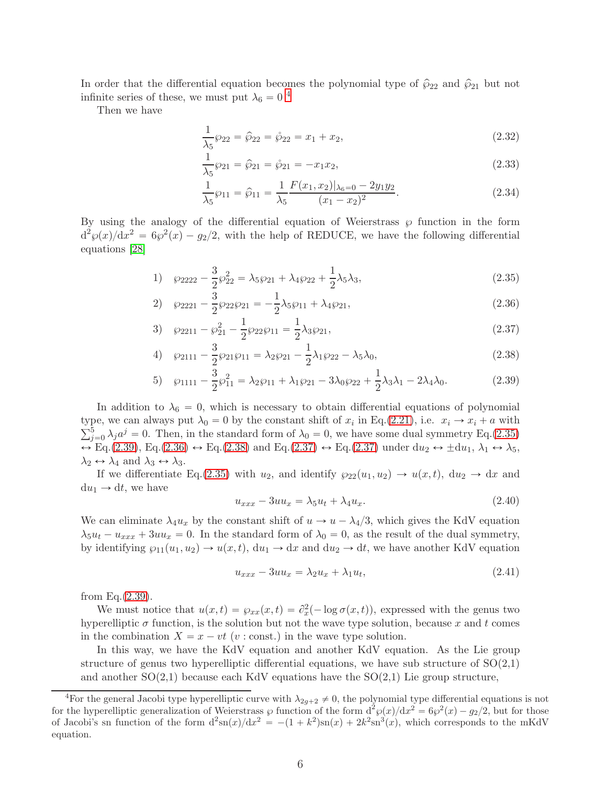In order that the differential equation becomes the polynomial type of  $\hat{\wp}_{22}$  and  $\hat{\wp}_{21}$  but not infinite series of these, we must put  $\lambda_6 = 0$ <sup>[4](#page-5-0)</sup>

Then we have

$$
\frac{1}{\lambda_5} \wp_{22} = \hat{\wp}_{22} = \hat{\wp}_{22} = x_1 + x_2,\tag{2.32}
$$

$$
\frac{1}{\lambda_5} \wp_{21} = \hat{\wp}_{21} = \hat{\wp}_{21} = -x_1 x_2,\tag{2.33}
$$

<span id="page-5-3"></span><span id="page-5-1"></span>
$$
\frac{1}{\lambda_5} \wp_{11} = \widehat{\wp}_{11} = \frac{1}{\lambda_5} \frac{F(x_1, x_2)|_{\lambda_6 = 0} - 2y_1 y_2}{(x_1 - x_2)^2}.
$$
\n(2.34)

By using the analogy of the differential equation of Weierstrass  $\wp$  function in the form  $d^2\varphi(x)/dx^2 = 6\varphi^2(x) - g_2/2$ , with the help of REDUCE, we have the following differential equations [\[28\]](#page-17-16)

1) 
$$
\wp_{2222} - \frac{3}{2} \wp_{22}^2 = \lambda_5 \wp_{21} + \lambda_4 \wp_{22} + \frac{1}{2} \lambda_5 \lambda_3,
$$
 (2.35)

$$
2) \quad \wp_{2221} - \frac{3}{2} \wp_{22} \wp_{21} = -\frac{1}{2} \lambda_5 \wp_{11} + \lambda_4 \wp_{21}, \tag{2.36}
$$

$$
3) \quad \wp_{2211} - \wp_{21}^2 - \frac{1}{2}\wp_{22}\wp_{11} = \frac{1}{2}\lambda_3\wp_{21},\tag{2.37}
$$

4) 
$$
\wp_{2111} - \frac{3}{2} \wp_{21} \wp_{11} = \lambda_2 \wp_{21} - \frac{1}{2} \lambda_1 \wp_{22} - \lambda_5 \lambda_0,
$$
 (2.38)

5) 
$$
\wp_{1111} - \frac{3}{2} \wp_{11}^2 = \lambda_2 \wp_{11} + \lambda_1 \wp_{21} - 3\lambda_0 \wp_{22} + \frac{1}{2} \lambda_3 \lambda_1 - 2\lambda_4 \lambda_0.
$$
 (2.39)

In addition to  $\lambda_6 = 0$ , which is necessary to obtain differential equations of polynomial type, we can always put  $\lambda_0 = 0$  by the constant shift of  $x_i$  in Eq.[\(2.21\)](#page-4-3), i.e.  $x_i \to x_i + a$  with  $\sum_{j=0}^{5} \lambda_j a^j = 0$ . Then, in the standard form of  $\lambda_0 = 0$ , we have some dual symmetry Eq.[\(2.35\)](#page-5-1)  $\leftrightarrow$  Eq.[\(2.39\)](#page-5-2), Eq.[\(2.36\)](#page-5-3)  $\leftrightarrow$  Eq.[\(2.38\)](#page-5-4) and Eq.[\(2.37\)](#page-5-5)  $\leftrightarrow$  Eq.(2.37) under du<sub>2</sub>  $\leftrightarrow \pm du_1$ ,  $\lambda_1 \leftrightarrow \lambda_5$ ,  $\lambda_2 \leftrightarrow \lambda_4$  and  $\lambda_3 \leftrightarrow \lambda_3$ .

If we differentiate Eq.[\(2.35\)](#page-5-1) with  $u_2$ , and identify  $\wp_{22}(u_1, u_2) \to u(x, t)$ , du<sub>2</sub>  $\to dx$  and  $du_1 \rightarrow dt$ , we have

<span id="page-5-6"></span><span id="page-5-5"></span><span id="page-5-4"></span><span id="page-5-2"></span>
$$
u_{xxx} - 3uu_x = \lambda_5 u_t + \lambda_4 u_x. \tag{2.40}
$$

We can eliminate  $\lambda_4 u_x$  by the constant shift of  $u \to u - \lambda_4/3$ , which gives the KdV equation  $\lambda_5 u_t - u_{xxx} + 3uu_x = 0$ . In the standard form of  $\lambda_0 = 0$ , as the result of the dual symmetry, by identifying  $\wp_{11}(u_1, u_2) \to u(x, t)$ ,  $du_1 \to dx$  and  $du_2 \to dt$ , we have another KdV equation

<span id="page-5-7"></span>
$$
u_{xxx} - 3uu_x = \lambda_2 u_x + \lambda_1 u_t, \tag{2.41}
$$

from Eq. $(2.39)$ .

We must notice that  $u(x, t) = \varphi_{xx}(x, t) = \partial_x^2(-\log \sigma(x, t))$ , expressed with the genus two hyperelliptic  $\sigma$  function, is the solution but not the wave type solution, because x and t comes in the combination  $X = x - vt$  (v: const.) in the wave type solution.

In this way, we have the KdV equation and another KdV equation. As the Lie group structure of genus two hyperelliptic differential equations, we have sub structure of  $SO(2,1)$ and another  $SO(2,1)$  because each KdV equations have the  $SO(2,1)$  Lie group structure,

<span id="page-5-0"></span><sup>&</sup>lt;sup>4</sup>For the general Jacobi type hyperelliptic curve with  $\lambda_{2g+2} \neq 0$ , the polynomial type differential equations is not for the hyperelliptic generalization of Weierstrass  $\wp$  function of the form  $d^2\wp(x)/dx^2 = 6\wp^2(x) - g_2/2$ , but for those of Jacobi's sn function of the form  $d^2 \text{sn}(x)/dx^2 = -(1 + k^2)\text{sn}(x) + 2k^2\text{sn}^3(x)$ , which corresponds to the mKdV equation.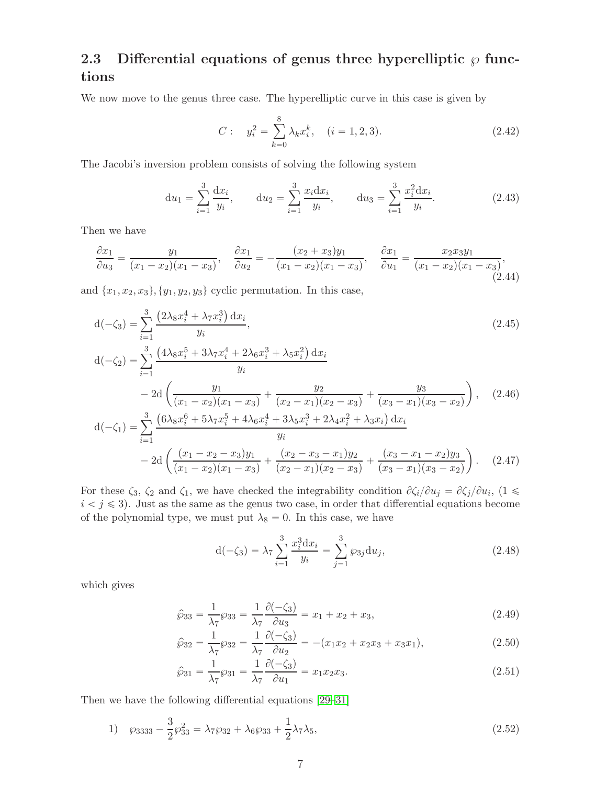### 2.3 Differential equations of genus three hyperelliptic  $\wp$  functions

We now move to the genus three case. The hyperelliptic curve in this case is given by

$$
C: \t y_i^2 = \sum_{k=0}^8 \lambda_k x_i^k, \t (i = 1, 2, 3).
$$
\t(2.42)

The Jacobi's inversion problem consists of solving the following system

$$
du_1 = \sum_{i=1}^3 \frac{dx_i}{y_i}, \qquad du_2 = \sum_{i=1}^3 \frac{x_i dx_i}{y_i}, \qquad du_3 = \sum_{i=1}^3 \frac{x_i^2 dx_i}{y_i}.
$$
 (2.43)

Then we have

$$
\frac{\partial x_1}{\partial u_3} = \frac{y_1}{(x_1 - x_2)(x_1 - x_3)}, \quad \frac{\partial x_1}{\partial u_2} = -\frac{(x_2 + x_3)y_1}{(x_1 - x_2)(x_1 - x_3)}, \quad \frac{\partial x_1}{\partial u_1} = \frac{x_2 x_3 y_1}{(x_1 - x_2)(x_1 - x_3)},\tag{2.44}
$$

and  ${x_1, x_2, x_3}, {y_1, y_2, y_3}$  cyclic permutation. In this case,

$$
d(-\zeta_3) = \sum_{i=1}^3 \frac{(2\lambda_8 x_i^4 + \lambda_7 x_i^3) dx_i}{y_i},
$$
\n
$$
d(-\zeta_2) = \sum_{i=1}^3 \frac{(4\lambda_8 x_i^5 + 3\lambda_7 x_i^4 + 2\lambda_6 x_i^3 + \lambda_5 x_i^2) dx_i}{y_i}
$$
\n
$$
- 2d\left(\frac{y_1}{(x_1 - x_2)(x_1 - x_3)} + \frac{y_2}{(x_2 - x_1)(x_2 - x_3)} + \frac{y_3}{(x_3 - x_1)(x_3 - x_2)}\right),
$$
\n
$$
d(-\zeta_1) = \sum_{i=1}^3 \frac{(6\lambda_8 x_i^6 + 5\lambda_7 x_i^5 + 4\lambda_6 x_i^4 + 3\lambda_5 x_i^3 + 2\lambda_4 x_i^2 + \lambda_3 x_i) dx_i}{y_i}
$$
\n
$$
- 2d\left(\frac{(x_1 - x_2 - x_3)y_1}{(x_1 - x_2)(x_1 - x_3)} + \frac{(x_2 - x_3 - x_1)y_2}{(x_2 - x_1)(x_2 - x_3)} + \frac{(x_3 - x_1 - x_2)y_3}{(x_3 - x_1)(x_3 - x_2)}\right).
$$
\n(2.47)

For these  $\zeta_3$ ,  $\zeta_2$  and  $\zeta_1$ , we have checked the integrability condition  $\partial \zeta_i/\partial u_j = \partial \zeta_j/\partial u_i$ ,  $(1 \leq \zeta_1/\zeta_2)$  $i < j \leq 3$ . Just as the same as the genus two case, in order that differential equations become of the polynomial type, we must put  $\lambda_8 = 0$ . In this case, we have

$$
d(-\zeta_3) = \lambda_7 \sum_{i=1}^3 \frac{x_i^3 dx_i}{y_i} = \sum_{j=1}^3 \wp_{3j} du_j,
$$
\n(2.48)

which gives

$$
\hat{\wp}_{33} = \frac{1}{\lambda_7} \wp_{33} = \frac{1}{\lambda_7} \frac{\partial(-\zeta_3)}{\partial u_3} = x_1 + x_2 + x_3,\tag{2.49}
$$

$$
\hat{\wp}_{32} = \frac{1}{\lambda_7} \wp_{32} = \frac{1}{\lambda_7} \frac{\partial(-\zeta_3)}{\partial u_2} = -(x_1 x_2 + x_2 x_3 + x_3 x_1),\tag{2.50}
$$

<span id="page-6-0"></span>
$$
\hat{\wp}_{31} = \frac{1}{\lambda_7} \wp_{31} = \frac{1}{\lambda_7} \frac{\partial (-\zeta_3)}{\partial u_1} = x_1 x_2 x_3.
$$
\n(2.51)

Then we have the following differential equations [\[29](#page-18-0)[–31\]](#page-18-1)

1) 
$$
\wp_{3333} - \frac{3}{2} \wp_{33}^2 = \lambda_7 \wp_{32} + \lambda_6 \wp_{33} + \frac{1}{2} \lambda_7 \lambda_5,
$$
 (2.52)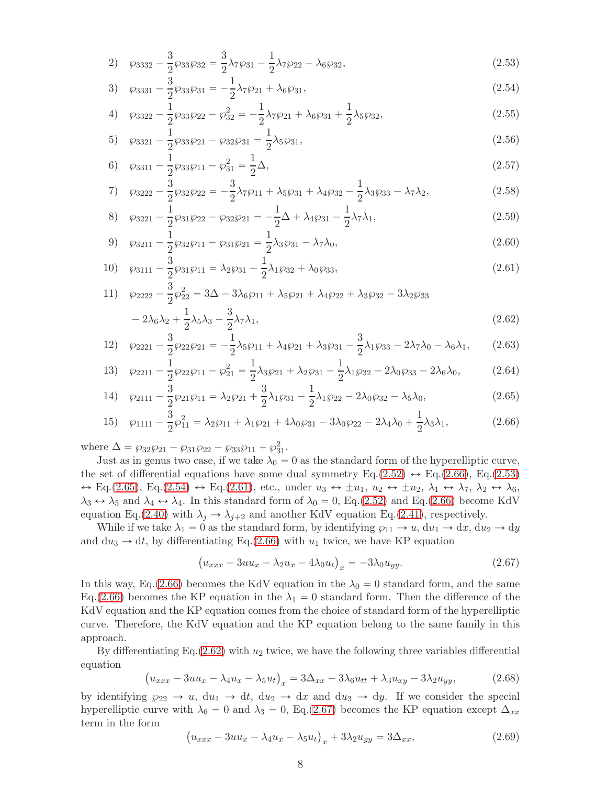<span id="page-7-1"></span>
$$
2) \quad \wp_{3332} - \frac{3}{2}\wp_{33}\wp_{32} = \frac{3}{2}\lambda_7\wp_{31} - \frac{1}{2}\lambda_7\wp_{22} + \lambda_6\wp_{32},\tag{2.53}
$$

<span id="page-7-3"></span>
$$
3) \quad \wp_{3331} - \frac{3}{2}\wp_{33}\wp_{31} = -\frac{1}{2}\lambda_7\wp_{21} + \lambda_6\wp_{31},\tag{2.54}
$$

4) 
$$
\wp_{3322} - \frac{1}{2} \wp_{33} \wp_{22} - \wp_{32}^2 = -\frac{1}{2} \lambda_7 \wp_{21} + \lambda_6 \wp_{31} + \frac{1}{2} \lambda_5 \wp_{32},
$$
 (2.55)

5) 
$$
\wp_{3321} - \frac{1}{2} \wp_{33} \wp_{21} - \wp_{32} \wp_{31} = \frac{1}{2} \lambda_5 \wp_{31},
$$
 (2.56)

6) 
$$
\wp_{3311} - \frac{1}{2} \wp_{33} \wp_{11} - \wp_{31}^2 = \frac{1}{2} \Delta,
$$
 (2.57)

7) 
$$
\wp_{3222} - \frac{3}{2} \wp_{32} \wp_{22} = -\frac{3}{2} \lambda_7 \wp_{11} + \lambda_5 \wp_{31} + \lambda_4 \wp_{32} - \frac{1}{2} \lambda_3 \wp_{33} - \lambda_7 \lambda_2, \tag{2.58}
$$

8) 
$$
\wp_{3221} - \frac{1}{2} \wp_{31} \wp_{22} - \wp_{32} \wp_{21} = -\frac{1}{2} \Delta + \lambda_4 \wp_{31} - \frac{1}{2} \lambda_7 \lambda_1, \tag{2.59}
$$

<span id="page-7-4"></span>9) 
$$
\wp_{3211} - \frac{1}{2} \wp_{32} \wp_{11} - \wp_{31} \wp_{21} = \frac{1}{2} \lambda_3 \wp_{31} - \lambda_7 \lambda_0,
$$
 (2.60)

10) 
$$
\wp_{3111} - \frac{3}{2} \wp_{31} \wp_{11} = \lambda_2 \wp_{31} - \frac{1}{2} \lambda_1 \wp_{32} + \lambda_0 \wp_{33},
$$
 (2.61)

11) 
$$
\wp_{2222} - \frac{3}{2} \wp_{22}^2 = 3\Delta - 3\lambda_6 \wp_{11} + \lambda_5 \wp_{21} + \lambda_4 \wp_{22} + \lambda_3 \wp_{32} - 3\lambda_2 \wp_{33} - 2\lambda_6 \lambda_2 + \frac{1}{2} \lambda_5 \lambda_3 - \frac{3}{2} \lambda_7 \lambda_1,
$$
\n(2.62)

12) 
$$
\wp_{2221} - \frac{3}{2} \wp_{22} \wp_{21} = -\frac{1}{2} \lambda_5 \wp_{11} + \lambda_4 \wp_{21} + \lambda_3 \wp_{31} - \frac{3}{2} \lambda_1 \wp_{33} - 2 \lambda_7 \lambda_0 - \lambda_6 \lambda_1, \qquad (2.63)
$$

13) 
$$
\wp_{2211} - \frac{1}{2} \wp_{22} \wp_{11} - \wp_{21}^2 = \frac{1}{2} \lambda_3 \wp_{21} + \lambda_2 \wp_{31} - \frac{1}{2} \lambda_1 \wp_{32} - 2 \lambda_0 \wp_{33} - 2 \lambda_6 \lambda_0, \tag{2.64}
$$

14) 
$$
\wp_{2111} - \frac{3}{2} \wp_{21} \wp_{11} = \lambda_2 \wp_{21} + \frac{3}{2} \lambda_1 \wp_{31} - \frac{1}{2} \lambda_1 \wp_{22} - 2 \lambda_0 \wp_{32} - \lambda_5 \lambda_0,
$$
 (2.65)

15) 
$$
\wp_{1111} - \frac{3}{2} \wp_{11}^2 = \lambda_2 \wp_{11} + \lambda_1 \wp_{21} + 4\lambda_0 \wp_{31} - 3\lambda_0 \wp_{22} - 2\lambda_4 \lambda_0 + \frac{1}{2} \lambda_3 \lambda_1, \tag{2.66}
$$

where  $\Delta = \wp_{32} \wp_{21} - \wp_{31} \wp_{22} - \wp_{33} \wp_{11} + \wp_{31}^2$ .

Just as in genus two case, if we take  $\lambda_0 = 0$  as the standard form of the hyperelliptic curve, the set of differential equations have some dual symmetry  $Eq.(2.52) \leftrightarrow Eq.(2.66)$  $Eq.(2.52) \leftrightarrow Eq.(2.66)$  $Eq.(2.52) \leftrightarrow Eq.(2.66)$  $Eq.(2.52) \leftrightarrow Eq.(2.66)$ ,  $Eq.(2.53)$  $Eq.(2.53)$  $\leftrightarrow$  Eq.[\(2.65\)](#page-7-2), Eq.[\(2.54\)](#page-7-3)  $\leftrightarrow$  Eq.[\(2.61\)](#page-7-4), etc., under  $u_3 \leftrightarrow \pm u_1, u_2 \leftrightarrow \pm u_2, \lambda_1 \leftrightarrow \lambda_7, \lambda_2 \leftrightarrow \lambda_6$  $\lambda_3 \leftrightarrow \lambda_5$  and  $\lambda_4 \leftrightarrow \lambda_4$ . In this standard form of  $\lambda_0 = 0$ , Eq.[\(2.52\)](#page-6-0) and Eq.[\(2.66\)](#page-7-0) become KdV equation Eq.[\(2.40\)](#page-5-6) with  $\lambda_j \rightarrow \lambda_{j+2}$  and another KdV equation Eq.[\(2.41\)](#page-5-7), respectively.

While if we take  $\lambda_1 = 0$  as the standard form, by identifying  $\wp_{11} \to u$ ,  $du_1 \to dx$ ,  $du_2 \to dy$ and  $du_3 \rightarrow dt$ , by differentiating Eq.[\(2.66\)](#page-7-0) with  $u_1$  twice, we have KP equation

<span id="page-7-6"></span><span id="page-7-5"></span><span id="page-7-2"></span><span id="page-7-0"></span>
$$
\left(u_{xxx} - 3uu_x - \lambda_2 u_x - 4\lambda_0 u_t\right)_x = -3\lambda_0 u_{yy}.\tag{2.67}
$$

In this way, Eq.[\(2.66\)](#page-7-0) becomes the KdV equation in the  $\lambda_0 = 0$  standard form, and the same Eq.[\(2.66\)](#page-7-0) becomes the KP equation in the  $\lambda_1 = 0$  standard form. Then the difference of the KdV equation and the KP equation comes from the choice of standard form of the hyperelliptic curve. Therefore, the KdV equation and the KP equation belong to the same family in this approach.

By differentiating Eq.  $(2.62)$  with  $u_2$  twice, we have the following three variables differential equation

$$
\left(u_{xxx} - 3uu_x - \lambda_4 u_x - \lambda_5 u_t\right)_x = 3\Delta_{xx} - 3\lambda_6 u_{tt} + \lambda_3 u_{xy} - 3\lambda_2 u_{yy},\tag{2.68}
$$

by identifying  $\wp_{22} \to u$ ,  $du_1 \to dt$ ,  $du_2 \to dx$  and  $du_3 \to dy$ . If we consider the special hyperelliptic curve with  $\lambda_6 = 0$  and  $\lambda_3 = 0$ , Eq.[\(2.67\)](#page-7-6) becomes the KP equation except  $\Delta_{xx}$ term in the form

$$
\left(u_{xxx} - 3uu_x - \lambda_4 u_x - \lambda_5 u_t\right)_x + 3\lambda_2 u_{yy} = 3\Delta_{xx},\tag{2.69}
$$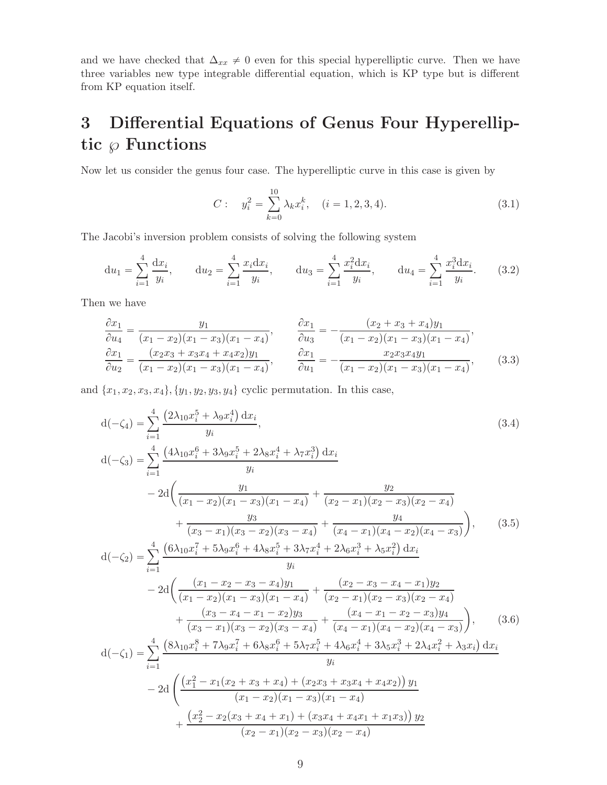and we have checked that  $\Delta_{xx} \neq 0$  even for this special hyperelliptic curve. Then we have three variables new type integrable differential equation, which is KP type but is different from KP equation itself.

## 3 Differential Equations of Genus Four Hyperelliptic  $\wp$  Functions

Now let us consider the genus four case. The hyperelliptic curve in this case is given by

$$
C: \t y_i^2 = \sum_{k=0}^{10} \lambda_k x_i^k, \t (i = 1, 2, 3, 4). \t (3.1)
$$

The Jacobi's inversion problem consists of solving the following system

$$
du_1 = \sum_{i=1}^4 \frac{dx_i}{y_i}, \qquad du_2 = \sum_{i=1}^4 \frac{x_i dx_i}{y_i}, \qquad du_3 = \sum_{i=1}^4 \frac{x_i^2 dx_i}{y_i}, \qquad du_4 = \sum_{i=1}^4 \frac{x_i^3 dx_i}{y_i}.
$$
 (3.2)

Then we have

$$
\frac{\partial x_1}{\partial u_4} = \frac{y_1}{(x_1 - x_2)(x_1 - x_3)(x_1 - x_4)}, \qquad \frac{\partial x_1}{\partial u_3} = -\frac{(x_2 + x_3 + x_4)y_1}{(x_1 - x_2)(x_1 - x_3)(x_1 - x_4)}, \n\frac{\partial x_1}{\partial u_2} = \frac{(x_2x_3 + x_3x_4 + x_4x_2)y_1}{(x_1 - x_2)(x_1 - x_4)}, \qquad \frac{\partial x_1}{\partial u_1} = -\frac{x_2x_3x_4y_1}{(x_1 - x_2)(x_1 - x_3)(x_1 - x_4)},
$$
\n(3.3)

and  ${x_1, x_2, x_3, x_4}, {y_1, y_2, y_3, y_4}$  cyclic permutation. In this case,

$$
d(-\zeta_4) = \sum_{i=1}^{4} \frac{(2\lambda_{10}x_i^5 + \lambda_9x_i^4) dx_i}{y_i},
$$
\n
$$
d(-\zeta_3) = \sum_{i=1}^{4} \frac{(4\lambda_{10}x_i^6 + 3\lambda_9x_i^5 + 2\lambda_8x_i^4 + \lambda_7x_i^3) dx_i}{y_i}
$$
\n
$$
- 2d\left(\frac{y_1}{(x_1 - x_2)(x_1 - x_3)(x_1 - x_4)} + \frac{y_2}{(x_2 - x_1)(x_2 - x_3)(x_2 - x_4)} + \frac{y_3}{(x_3 - x_1)(x_3 - x_2)(x_3 - x_4)} + \frac{y_4}{(x_4 - x_1)(x_4 - x_2)(x_4 - x_3)}\right),
$$
\n
$$
d(-\zeta_2) = \sum_{i=1}^{4} \frac{(6\lambda_{10}x_i^7 + 5\lambda_9x_i^6 + 4\lambda_8x_i^5 + 3\lambda_7x_i^4 + 2\lambda_6x_i^3 + \lambda_5x_i^2) dx_i}{y_i}
$$
\n
$$
- 2d\left(\frac{(x_1 - x_2 - x_3 - x_4)y_1}{(x_1 - x_2)(x_1 - x_3)(x_1 - x_4)} + \frac{(x_2 - x_3 - x_4 - x_1)y_2}{(x_2 - x_1)(x_2 - x_3)(x_2 - x_4)} + \frac{(x_3 - x_4 - x_1 - x_2)y_3}{(x_3 - x_1)(x_3 - x_2)(x_3 - x_4)} + \frac{(x_4 - x_1 - x_2 - x_3)y_4}{(x_4 - x_1)(x_4 - x_2)(x_4 - x_3)}\right),
$$
\n
$$
d(-\zeta_1) = \sum_{i=1}^{4} \frac{(8\lambda_{10}x_i^8 + 7\lambda_9x_i^7 + 6\lambda_8x_i^6 + 5\lambda_7x_i^5 + 4\lambda_6x_i^4 + 3\lambda_5x_i^3 + 2\lambda_4x_i^2 + \lambda_3x_i) dx_i}{y_i}
$$
\n
$$
- 2d\left(\frac{(x_1^2 - x_1(x_2 + x_3 + x_4) + (x_2x
$$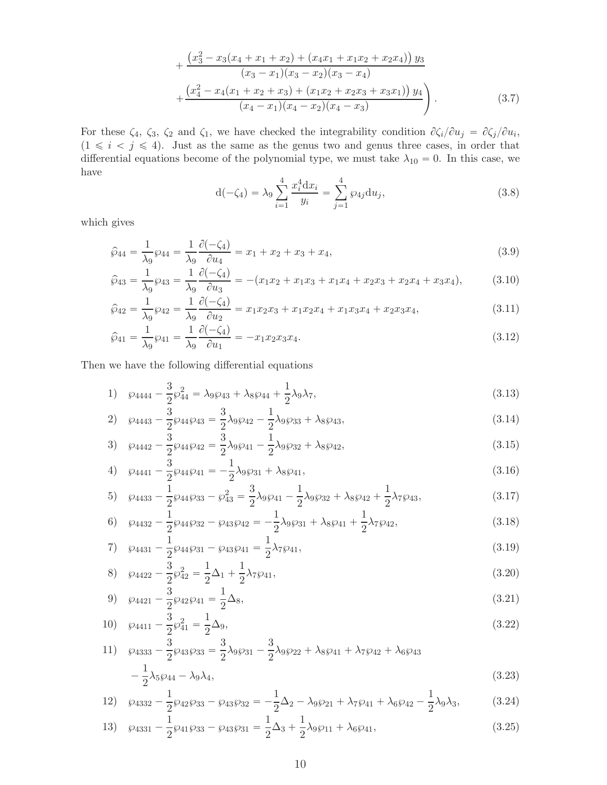$$
+\frac{\left(x_3^2-x_3(x_4+x_1+x_2)+\left(x_4x_1+x_1x_2+x_2x_4\right)\right)y_3}{(x_3-x_1)(x_3-x_2)(x_3-x_4)} +\frac{\left(x_4^2-x_4(x_1+x_2+x_3)+\left(x_1x_2+x_2x_3+x_3x_1\right)\right)y_4}{(x_4-x_1)(x_4-x_2)(x_4-x_3)}.
$$
\n(3.7)

For these  $\zeta_4$ ,  $\zeta_3$ ,  $\zeta_2$  and  $\zeta_1$ , we have checked the integrability condition  $\partial \zeta_i/\partial u_j = \partial \zeta_j/\partial u_i$ ,  $(1 \le i \le j \le 4)$ . Just as the same as the genus two and genus three cases, in order that differential equations become of the polynomial type, we must take  $\lambda_{10} = 0$ . In this case, we have

<span id="page-9-2"></span><span id="page-9-1"></span><span id="page-9-0"></span>
$$
d(-\zeta_4) = \lambda_9 \sum_{i=1}^4 \frac{x_i^4 dx_i}{y_i} = \sum_{j=1}^4 \wp_{4j} du_j,
$$
\n(3.8)

which gives

$$
\hat{\wp}_{44} = \frac{1}{\lambda_9} \wp_{44} = \frac{1}{\lambda_9} \frac{\partial (-\zeta_4)}{\partial u_4} = x_1 + x_2 + x_3 + x_4,\tag{3.9}
$$

$$
\hat{\wp}_{43} = \frac{1}{\lambda_9} \wp_{43} = \frac{1}{\lambda_9} \frac{\partial (-\zeta_4)}{\partial u_3} = -(x_1x_2 + x_1x_3 + x_1x_4 + x_2x_3 + x_2x_4 + x_3x_4),\tag{3.10}
$$

$$
\hat{\wp}_{42} = \frac{1}{\lambda_9} \wp_{42} = \frac{1}{\lambda_9} \frac{\partial (-\zeta_4)}{\partial u_2} = x_1 x_2 x_3 + x_1 x_2 x_4 + x_1 x_3 x_4 + x_2 x_3 x_4,\tag{3.11}
$$

$$
\hat{\wp}_{41} = \frac{1}{\lambda_9} \wp_{41} = \frac{1}{\lambda_9} \frac{\partial (-\zeta_4)}{\partial u_1} = -x_1 x_2 x_3 x_4.
$$
\n(3.12)

Then we have the following differential equations

1) 
$$
\wp_{4444} - \frac{3}{2}\wp_{44}^2 = \lambda_9 \wp_{43} + \lambda_8 \wp_{44} + \frac{1}{2}\lambda_9 \lambda_7,
$$
 (3.13)

2) 
$$
\wp_{4443} - \frac{3}{2}\wp_{44}\wp_{43} = \frac{3}{2}\lambda_9\wp_{42} - \frac{1}{2}\lambda_9\wp_{33} + \lambda_8\wp_{43},
$$
 (3.14)

$$
3) \quad \wp_{4442} - \frac{3}{2}\wp_{44}\wp_{42} = \frac{3}{2}\lambda_9\wp_{41} - \frac{1}{2}\lambda_9\wp_{32} + \lambda_8\wp_{42},\tag{3.15}
$$

4) 
$$
\wp_{4441} - \frac{3}{2} \wp_{44} \wp_{41} = -\frac{1}{2} \lambda_9 \wp_{31} + \lambda_8 \wp_{41},
$$
 (3.16)

5) 
$$
\wp_{4433} - \frac{1}{2}\wp_{44}\wp_{33} - \wp_{43}^2 = \frac{3}{2}\lambda_9\wp_{41} - \frac{1}{2}\lambda_9\wp_{32} + \lambda_8\wp_{42} + \frac{1}{2}\lambda_7\wp_{43},
$$
 (3.17)

6) 
$$
\wp_{4432} - \frac{1}{2}\wp_{44}\wp_{32} - \wp_{43}\wp_{42} = -\frac{1}{2}\lambda_9\wp_{31} + \lambda_8\wp_{41} + \frac{1}{2}\lambda_7\wp_{42},
$$
\n(3.18)

7) 
$$
\wp_{4431} - \frac{1}{2} \wp_{44} \wp_{31} - \wp_{43} \wp_{41} = \frac{1}{2} \lambda_7 \wp_{41},
$$
 (3.19)

8) 
$$
\wp_{4422} - \frac{3}{2} \wp_{42}^2 = \frac{1}{2} \Delta_1 + \frac{1}{2} \lambda_7 \wp_{41},
$$
 (3.20)

$$
9) \quad \wp_{4421} - \frac{3}{2}\wp_{42}\wp_{41} = \frac{1}{2}\Delta_8,\tag{3.21}
$$

10) 
$$
\wp_{4411} - \frac{3}{2}\wp_{41}^2 = \frac{1}{2}\Delta_9,
$$
 (3.22)

11) 
$$
\wp_{4333} - \frac{3}{2} \wp_{43} \wp_{33} = \frac{3}{2} \lambda_9 \wp_{31} - \frac{3}{2} \lambda_9 \wp_{22} + \lambda_8 \wp_{41} + \lambda_7 \wp_{42} + \lambda_6 \wp_{43} - \frac{1}{2} \lambda_5 \wp_{44} - \lambda_9 \lambda_4,
$$
\n(3.23)

12) 
$$
\wp_{4332} - \frac{1}{2} \wp_{42} \wp_{33} - \wp_{43} \wp_{32} = -\frac{1}{2} \Delta_2 - \lambda_9 \wp_{21} + \lambda_7 \wp_{41} + \lambda_6 \wp_{42} - \frac{1}{2} \lambda_9 \lambda_3, \tag{3.24}
$$

13) 
$$
\wp_{4331} - \frac{1}{2}\wp_{41}\wp_{33} - \wp_{43}\wp_{31} = \frac{1}{2}\Delta_3 + \frac{1}{2}\lambda_9\wp_{11} + \lambda_6\wp_{41},
$$
 (3.25)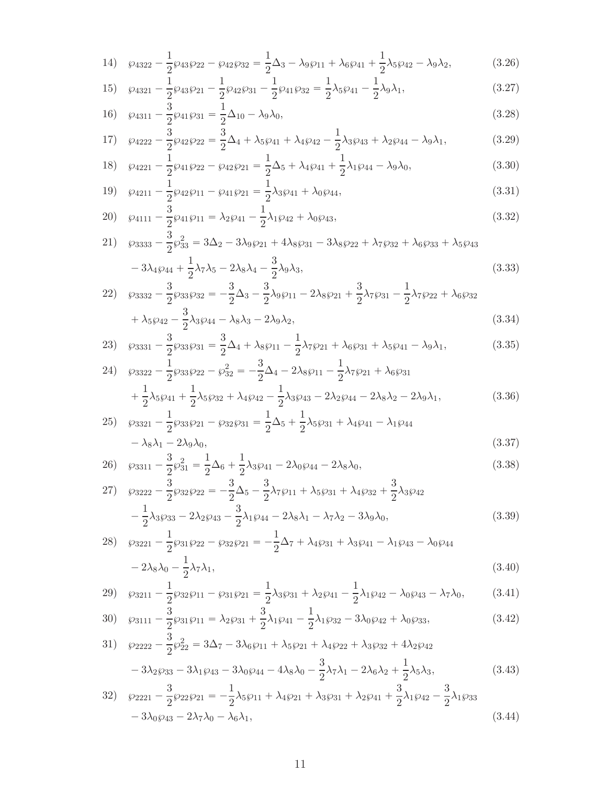14) 
$$
\wp_{4322} - \frac{1}{2} \wp_{43} \wp_{22} - \wp_{42} \wp_{32} = \frac{1}{2} \Delta_3 - \lambda_9 \wp_{11} + \lambda_6 \wp_{41} + \frac{1}{2} \lambda_5 \wp_{42} - \lambda_9 \lambda_2, \tag{3.26}
$$

15) 
$$
\wp_{4321} - \frac{1}{2} \wp_{43} \wp_{21} - \frac{1}{2} \wp_{42} \wp_{31} - \frac{1}{2} \wp_{41} \wp_{32} = \frac{1}{2} \lambda_5 \wp_{41} - \frac{1}{2} \lambda_9 \lambda_1, \tag{3.27}
$$

16) 
$$
\wp_{4311} - \frac{3}{2}\wp_{41}\wp_{31} = \frac{1}{2}\Delta_{10} - \lambda_9\lambda_0,
$$
 (3.28)

17) 
$$
\wp_{4222} - \frac{3}{2} \wp_{42} \wp_{22} = \frac{3}{2} \Delta_4 + \lambda_5 \wp_{41} + \lambda_4 \wp_{42} - \frac{1}{2} \lambda_3 \wp_{43} + \lambda_2 \wp_{44} - \lambda_9 \lambda_1, \tag{3.29}
$$

$$
\begin{array}{lll}\n18 & \wp_{4221} - \frac{1}{2} \wp_{41} \wp_{22} - \wp_{42} \wp_{21} = \frac{1}{2} \Delta_5 + \lambda_4 \wp_{41} + \frac{1}{2} \lambda_1 \wp_{44} - \lambda_9 \lambda_0, \\
1 & 1\n\end{array} \tag{3.30}
$$

$$
(3.31)
$$
  $\wp_{4211} - \frac{1}{2}\wp_{42}\wp_{11} - \wp_{41}\wp_{21} = \frac{1}{2}\lambda_3\wp_{41} + \lambda_0\wp_{44},$ 

$$
20) \quad \wp_{4111} - \frac{3}{2}\wp_{41}\wp_{11} = \lambda_2\wp_{41} - \frac{1}{2}\lambda_1\wp_{42} + \lambda_0\wp_{43},\tag{3.32}
$$

21) 
$$
\wp_{3333} - \frac{3}{2} \wp_{33}^2 = 3\Delta_2 - 3\lambda_9 \wp_{21} + 4\lambda_8 \wp_{31} - 3\lambda_8 \wp_{22} + \lambda_7 \wp_{32} + \lambda_6 \wp_{33} + \lambda_5 \wp_{43} - 3\lambda_4 \wp_{44} + \frac{1}{2} \lambda_7 \lambda_5 - 2\lambda_8 \lambda_4 - \frac{3}{2} \lambda_9 \lambda_3,
$$
 (3.33)

<span id="page-10-1"></span>
$$
22) \quad \wp_{3332} - \frac{3}{2} \wp_{33} \wp_{32} = -\frac{3}{2} \Delta_3 - \frac{3}{2} \lambda_9 \wp_{11} - 2 \lambda_8 \wp_{21} + \frac{3}{2} \lambda_7 \wp_{31} - \frac{1}{2} \lambda_7 \wp_{22} + \lambda_6 \wp_{32} + \lambda_5 \wp_{42} - \frac{3}{2} \lambda_3 \wp_{44} - \lambda_8 \lambda_3 - 2 \lambda_9 \lambda_2,
$$
\n(3.34)

$$
23)\quad \wp_{3331} - \frac{3}{2}\wp_{33}\wp_{31} = \frac{3}{2}\Delta_4 + \lambda_8\wp_{11} - \frac{1}{2}\lambda_7\wp_{21} + \lambda_6\wp_{31} + \lambda_5\wp_{41} - \lambda_9\lambda_1,\tag{3.35}
$$

24) 
$$
\wp_{3322} - \frac{1}{2} \wp_{33} \wp_{22} - \wp_{32}^2 = -\frac{3}{2} \Delta_4 - 2 \lambda_8 \wp_{11} - \frac{1}{2} \lambda_7 \wp_{21} + \lambda_6 \wp_{31} + \frac{1}{2} \lambda_5 \wp_{41} + \frac{1}{2} \lambda_5 \wp_{32} + \lambda_4 \wp_{42} - \frac{1}{2} \lambda_3 \wp_{43} - 2 \lambda_2 \wp_{44} - 2 \lambda_8 \lambda_2 - 2 \lambda_9 \lambda_1,
$$
 (3.36)

$$
25) \quad \wp_{3321} - \frac{1}{2} \wp_{33} \wp_{21} - \wp_{32} \wp_{31} = \frac{1}{2} \Delta_5 + \frac{1}{2} \lambda_5 \wp_{31} + \lambda_4 \wp_{41} - \lambda_1 \wp_{44} - \lambda_8 \lambda_1 - 2\lambda_9 \lambda_0, \tag{3.37}
$$

$$
26)\quad \wp_{3311} - \frac{3}{2}\wp_{31}^2 = \frac{1}{2}\Delta_6 + \frac{1}{2}\lambda_3\wp_{41} - 2\lambda_0\wp_{44} - 2\lambda_8\lambda_0,\tag{3.38}
$$

$$
27) \quad \wp_{3222} - \frac{3}{2}\wp_{32}\wp_{22} = -\frac{3}{2}\Delta_5 - \frac{3}{2}\lambda_7\wp_{11} + \lambda_5\wp_{31} + \lambda_4\wp_{32} + \frac{3}{2}\lambda_3\wp_{42} -\frac{1}{2}\lambda_3\wp_{33} - 2\lambda_2\wp_{43} - \frac{3}{2}\lambda_1\wp_{44} - 2\lambda_8\lambda_1 - \lambda_7\lambda_2 - 3\lambda_9\lambda_0,
$$
\n(3.39)

$$
28) \quad \wp_{3221} - \frac{1}{2} \wp_{31} \wp_{22} - \wp_{32} \wp_{21} = -\frac{1}{2} \Delta_7 + \lambda_4 \wp_{31} + \lambda_3 \wp_{41} - \lambda_1 \wp_{43} - \lambda_0 \wp_{44} - 2\lambda_8 \lambda_0 - \frac{1}{2} \lambda_7 \lambda_1,
$$
\n(3.40)

29) 
$$
\wp_{3211} - \frac{1}{2} \wp_{32} \wp_{11} - \wp_{31} \wp_{21} = \frac{1}{2} \lambda_3 \wp_{31} + \lambda_2 \wp_{41} - \frac{1}{2} \lambda_1 \wp_{42} - \lambda_0 \wp_{43} - \lambda_7 \lambda_0, \tag{3.41}
$$

$$
30)\quad \wp_{3111} - \frac{3}{2}\wp_{31}\wp_{11} = \lambda_2\wp_{31} + \frac{3}{2}\lambda_1\wp_{41} - \frac{1}{2}\lambda_1\wp_{32} - 3\lambda_0\wp_{42} + \lambda_0\wp_{33},\tag{3.42}
$$

31) 
$$
\wp_{2222} - \frac{3}{2} \wp_{22}^2 = 3\Delta_7 - 3\lambda_6 \wp_{11} + \lambda_5 \wp_{21} + \lambda_4 \wp_{22} + \lambda_3 \wp_{32} + 4\lambda_2 \wp_{42}
$$

<span id="page-10-2"></span><span id="page-10-0"></span>
$$
-3\lambda_2 \wp_{33} - 3\lambda_1 \wp_{43} - 3\lambda_0 \wp_{44} - 4\lambda_8 \lambda_0 - \frac{3}{2}\lambda_7 \lambda_1 - 2\lambda_6 \lambda_2 + \frac{1}{2}\lambda_5 \lambda_3,
$$
(3.43)

$$
32) \quad \wp_{2221} - \frac{3}{2}\wp_{22}\wp_{21} = -\frac{1}{2}\lambda_5\wp_{11} + \lambda_4\wp_{21} + \lambda_3\wp_{31} + \lambda_2\wp_{41} + \frac{3}{2}\lambda_1\wp_{42} - \frac{3}{2}\lambda_1\wp_{33} - 3\lambda_0\wp_{43} - 2\lambda_7\lambda_0 - \lambda_6\lambda_1,
$$
\n(3.44)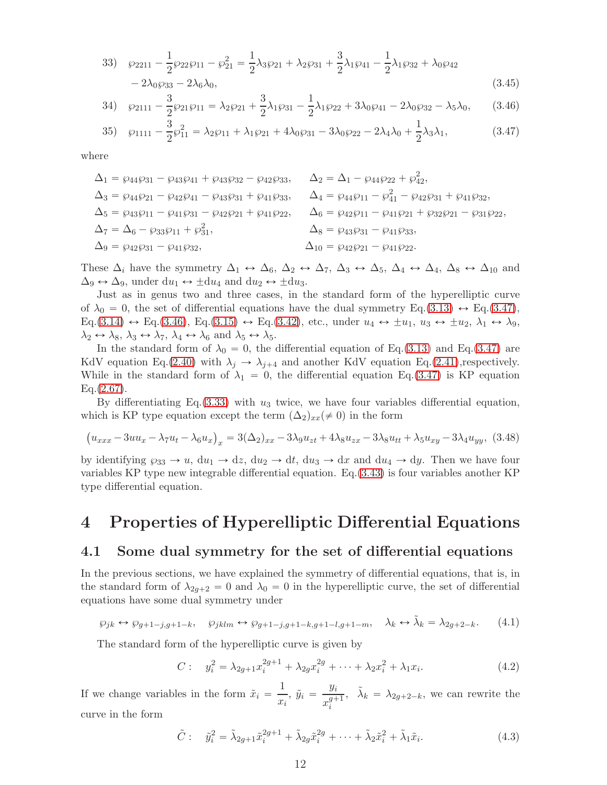$$
33) \quad \wp_{2211} - \frac{1}{2} \wp_{22} \wp_{11} - \wp_{21}^2 = \frac{1}{2} \lambda_3 \wp_{21} + \lambda_2 \wp_{31} + \frac{3}{2} \lambda_1 \wp_{41} - \frac{1}{2} \lambda_1 \wp_{32} + \lambda_0 \wp_{42} - 2 \lambda_0 \wp_{33} - 2 \lambda_6 \lambda_0,
$$
\n
$$
(3.45)
$$

<span id="page-11-1"></span>
$$
34) \quad \wp_{2111} - \frac{3}{2}\wp_{21}\wp_{11} = \lambda_2\wp_{21} + \frac{3}{2}\lambda_1\wp_{31} - \frac{1}{2}\lambda_1\wp_{22} + 3\lambda_0\wp_{41} - 2\lambda_0\wp_{32} - \lambda_5\lambda_0,\tag{3.46}
$$

<span id="page-11-0"></span>
$$
35)\quad \wp_{1111} - \frac{3}{2}\wp_{11}^2 = \lambda_2\wp_{11} + \lambda_1\wp_{21} + 4\lambda_0\wp_{31} - 3\lambda_0\wp_{22} - 2\lambda_4\lambda_0 + \frac{1}{2}\lambda_3\lambda_1,\tag{3.47}
$$

where

$$
\begin{aligned} \Delta_1 &= \wp_{44}\wp_{31} - \wp_{43}\wp_{41} + \wp_{43}\wp_{32} - \wp_{42}\wp_{33}, & \Delta_2 &= \Delta_1 - \wp_{44}\wp_{22} + \wp_{42}^2, \\ \Delta_3 &= \wp_{44}\wp_{21} - \wp_{42}\wp_{41} - \wp_{43}\wp_{31} + \wp_{41}\wp_{33}, & \Delta_4 &= \wp_{44}\wp_{11} - \wp_{41}^2 - \wp_{42}\wp_{31} + \wp_{41}\wp_{32}, \\ \Delta_5 &= \wp_{43}\wp_{11} - \wp_{41}\wp_{31} - \wp_{42}\wp_{21} + \wp_{41}\wp_{22}, & \Delta_6 &= \wp_{42}\wp_{11} - \wp_{41}\wp_{21} + \wp_{32}\wp_{21} - \wp_{31}\wp_{22}, \\ \Delta_7 &= \Delta_6 - \wp_{33}\wp_{11} + \wp_{31}^2, & \Delta_8 &= \wp_{43}\wp_{31} - \wp_{41}\wp_{33}, \\ \Delta_9 &= \wp_{42}\wp_{31} - \wp_{41}\wp_{32}, & \Delta_{10} &= \wp_{42}\wp_{21} - \wp_{41}\wp_{22}. \end{aligned}
$$

These  $\Delta_i$  have the symmetry  $\Delta_1 \leftrightarrow \Delta_6$ ,  $\Delta_2 \leftrightarrow \Delta_7$ ,  $\Delta_3 \leftrightarrow \Delta_5$ ,  $\Delta_4 \leftrightarrow \Delta_4$ ,  $\Delta_8 \leftrightarrow \Delta_{10}$  and  $\Delta_9 \leftrightarrow \Delta_9$ , under  $du_1 \leftrightarrow \pm du_4$  and  $du_2 \leftrightarrow \pm du_3$ .

Just as in genus two and three cases, in the standard form of the hyperelliptic curve of  $\lambda_0 = 0$ , the set of differential equations have the dual symmetry Eq.[\(3.13\)](#page-9-0)  $\leftrightarrow$  Eq.[\(3.47\)](#page-11-0),  $\text{Eq.}(3.14) \leftrightarrow \text{Eq.}(3.46), \text{ Eq.}(3.15) \leftrightarrow \text{Eq.}(3.42), \text{ etc., under } u_4 \leftrightarrow \pm u_1, u_3 \leftrightarrow \pm u_2, \lambda_1 \leftrightarrow \lambda_9,$  $\text{Eq.}(3.14) \leftrightarrow \text{Eq.}(3.46), \text{ Eq.}(3.15) \leftrightarrow \text{Eq.}(3.42), \text{ etc., under } u_4 \leftrightarrow \pm u_1, u_3 \leftrightarrow \pm u_2, \lambda_1 \leftrightarrow \lambda_9,$  $\text{Eq.}(3.14) \leftrightarrow \text{Eq.}(3.46), \text{ Eq.}(3.15) \leftrightarrow \text{Eq.}(3.42), \text{ etc., under } u_4 \leftrightarrow \pm u_1, u_3 \leftrightarrow \pm u_2, \lambda_1 \leftrightarrow \lambda_9,$  $\text{Eq.}(3.14) \leftrightarrow \text{Eq.}(3.46), \text{ Eq.}(3.15) \leftrightarrow \text{Eq.}(3.42), \text{ etc., under } u_4 \leftrightarrow \pm u_1, u_3 \leftrightarrow \pm u_2, \lambda_1 \leftrightarrow \lambda_9,$  $\text{Eq.}(3.14) \leftrightarrow \text{Eq.}(3.46), \text{ Eq.}(3.15) \leftrightarrow \text{Eq.}(3.42), \text{ etc., under } u_4 \leftrightarrow \pm u_1, u_3 \leftrightarrow \pm u_2, \lambda_1 \leftrightarrow \lambda_9,$  $\text{Eq.}(3.14) \leftrightarrow \text{Eq.}(3.46), \text{ Eq.}(3.15) \leftrightarrow \text{Eq.}(3.42), \text{ etc., under } u_4 \leftrightarrow \pm u_1, u_3 \leftrightarrow \pm u_2, \lambda_1 \leftrightarrow \lambda_9,$  $\text{Eq.}(3.14) \leftrightarrow \text{Eq.}(3.46), \text{ Eq.}(3.15) \leftrightarrow \text{Eq.}(3.42), \text{ etc., under } u_4 \leftrightarrow \pm u_1, u_3 \leftrightarrow \pm u_2, \lambda_1 \leftrightarrow \lambda_9,$  $\text{Eq.}(3.14) \leftrightarrow \text{Eq.}(3.46), \text{ Eq.}(3.15) \leftrightarrow \text{Eq.}(3.42), \text{ etc., under } u_4 \leftrightarrow \pm u_1, u_3 \leftrightarrow \pm u_2, \lambda_1 \leftrightarrow \lambda_9,$  $\text{Eq.}(3.14) \leftrightarrow \text{Eq.}(3.46), \text{ Eq.}(3.15) \leftrightarrow \text{Eq.}(3.42), \text{ etc., under } u_4 \leftrightarrow \pm u_1, u_3 \leftrightarrow \pm u_2, \lambda_1 \leftrightarrow \lambda_9,$  $\lambda_2 \leftrightarrow \lambda_8, \lambda_3 \leftrightarrow \lambda_7, \lambda_4 \leftrightarrow \lambda_6 \text{ and } \lambda_5 \leftrightarrow \lambda_5.$ 

In the standard form of  $\lambda_0 = 0$ , the differential equation of Eq.[\(3.13\)](#page-9-0) and Eq.[\(3.47\)](#page-11-0) are KdV equation Eq.[\(2.40\)](#page-5-6) with  $\lambda_j \rightarrow \lambda_{j+4}$  and another KdV equation Eq.[\(2.41\)](#page-5-7),respectively. While in the standard form of  $\lambda_1 = 0$ , the differential equation Eq.[\(3.47\)](#page-11-0) is KP equation  $Eq.(2.67)$  $Eq.(2.67)$ .

By differentiating Eq.[\(3.33\)](#page-10-1) with  $u_3$  twice, we have four variables differential equation, which is KP type equation except the term  $(\Delta_2)_{xx}(\neq 0)$  in the form

$$
(u_{xxx} - 3uu_x - \lambda_7 u_t - \lambda_6 u_x)_x = 3(\Delta_2)_{xx} - 3\lambda_9 u_{zt} + 4\lambda_8 u_{zx} - 3\lambda_8 u_{tt} + \lambda_5 u_{xy} - 3\lambda_4 u_{yy}, (3.48)
$$

by identifying  $\wp_{33} \to u$ ,  $du_1 \to dz$ ,  $du_2 \to dt$ ,  $du_3 \to dx$  and  $du_4 \to dy$ . Then we have four variables KP type new integrable differential equation. Eq.[\(3.43\)](#page-10-2) is four variables another KP type differential equation.

### 4 Properties of Hyperelliptic Differential Equations

#### 4.1 Some dual symmetry for the set of differential equations

In the previous sections, we have explained the symmetry of differential equations, that is, in the standard form of  $\lambda_{2g+2} = 0$  and  $\lambda_0 = 0$  in the hyperelliptic curve, the set of differential equations have some dual symmetry under

<span id="page-11-4"></span>
$$
\wp_{jk} \leftrightarrow \wp_{g+1-j,g+1-k}, \quad \wp_{jklm} \leftrightarrow \wp_{g+1-j,g+1-k,g+1-l,g+1-m}, \quad \lambda_k \leftrightarrow \tilde{\lambda}_k = \lambda_{2g+2-k}.\tag{4.1}
$$

The standard form of the hyperelliptic curve is given by

<span id="page-11-3"></span>
$$
C: y_i^2 = \lambda_{2g+1} x_i^{2g+1} + \lambda_{2g} x_i^{2g} + \dots + \lambda_2 x_i^2 + \lambda_1 x_i.
$$
 (4.2)

If we change variables in the form  $\tilde{x}_i = \frac{1}{n}$  $rac{1}{x_i}, \tilde{y}_i = \frac{y_i}{x_i^{g+}}$  $x_i^{g+1}$ i ,  $\tilde{\lambda}_k = \lambda_{2g+2-k}$ , we can rewrite the curve in the form

<span id="page-11-2"></span>
$$
\tilde{C}: \quad \tilde{y}_i^2 = \tilde{\lambda}_{2g+1}\tilde{x}_i^{2g+1} + \tilde{\lambda}_{2g}\tilde{x}_i^{2g} + \dots + \tilde{\lambda}_2\tilde{x}_i^2 + \tilde{\lambda}_1\tilde{x}_i. \tag{4.3}
$$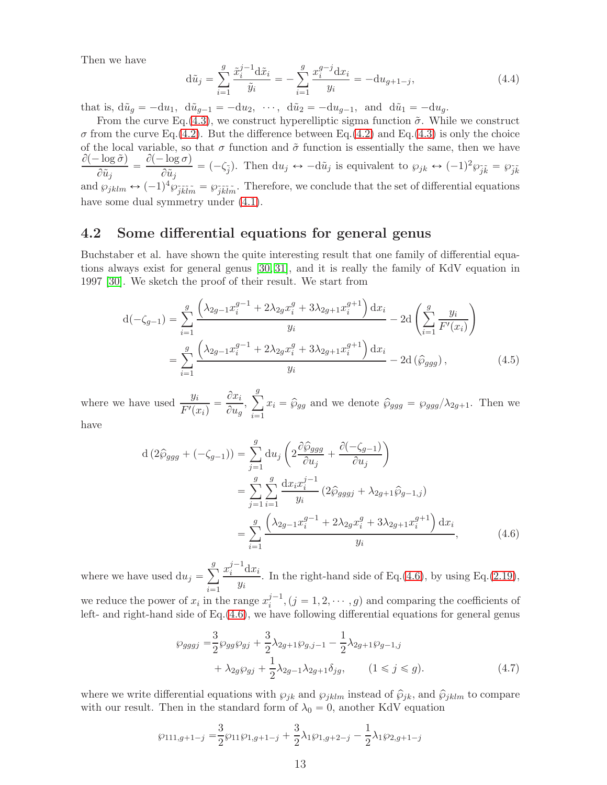Then we have

$$
d\tilde{u}_j = \sum_{i=1}^g \frac{\tilde{x}_i^{j-1} d\tilde{x}_i}{\tilde{y}_i} = -\sum_{i=1}^g \frac{x_i^{g-j} dx_i}{y_i} = -du_{g+1-j},\tag{4.4}
$$

that is,  $d\tilde{u}_g = -du_1$ ,  $d\tilde{u}_{g-1} = -du_2$ ,  $\cdots$ ,  $d\tilde{u}_2 = -du_{g-1}$ , and  $d\tilde{u}_1 = -du_g$ .

From the curve Eq.[\(4.3\)](#page-11-2), we construct hyperelliptic sigma function  $\tilde{\sigma}$ . While we construct  $\sigma$  from the curve Eq.[\(4.2\)](#page-11-3). But the difference between Eq.(4.2) and Eq.[\(4.3\)](#page-11-2) is only the choice of the local variable, so that  $\sigma$  function and  $\tilde{\sigma}$  function is essentially the same, then we have  $\partial(-\log \tilde{\sigma})$  $\frac{\partial \bar{\partial} \bar{\partial}}{\partial \tilde{u}_j} = \frac{\partial (-\log \sigma)}{\partial \tilde{u}_j}$  $\frac{\partial^2 \tilde{u}_{\beta}}{\partial \tilde{u}_j} = (-\zeta_{\tilde{j}}).$  Then  $du_j \leftrightarrow -d\tilde{u}_j$  is equivalent to  $\wp_{jk} \leftrightarrow (-1)^2 \wp_{\tilde{j}\tilde{k}} = \wp_{\tilde{j}\tilde{k}}$ and  $\wp_{jklm} \leftrightarrow (-1)^4 \wp_{\tilde{j}\tilde{k}\tilde{l}\tilde{m}} = \wp_{\tilde{j}\tilde{k}\tilde{l}\tilde{m}}$ . Therefore, we conclude that the set of differential equations have some dual symmetry under  $(4.1)$ .

#### 4.2 Some differential equations for general genus

Buchstaber et al. have shown the quite interesting result that one family of differential equations always exist for general genus [\[30,](#page-18-4) [31\]](#page-18-1), and it is really the family of KdV equation in 1997 [\[30\]](#page-18-4). We sketch the proof of their result. We start from

$$
d(-\zeta_{g-1}) = \sum_{i=1}^{g} \frac{\left(\lambda_{2g-1} x_i^{g-1} + 2\lambda_{2g} x_i^g + 3\lambda_{2g+1} x_i^{g+1}\right) dx_i}{y_i} - 2d\left(\sum_{i=1}^{g} \frac{y_i}{F'(x_i)}\right)
$$

$$
= \sum_{i=1}^{g} \frac{\left(\lambda_{2g-1} x_i^{g-1} + 2\lambda_{2g} x_i^g + 3\lambda_{2g+1} x_i^{g+1}\right) dx_i}{y_i} - 2d\left(\hat{\wp}_{ggg}\right), \tag{4.5}
$$

where we have used  $\frac{y_i}{E'}$  $\frac{y_i}{F'(x_i)} = \frac{\partial x_i}{\partial u_g}$  $\frac{\partial x_i}{\partial u_g},\ \sum_{i=1}^g$  $\sum_{i=1} x_i = \hat{\wp}_{gg}$  and we denote  $\hat{\wp}_{ggg} = \wp_{ggg}/\lambda_{2g+1}$ . Then we have

$$
d (2\hat{\varphi}_{ggg} + (-\zeta_{g-1})) = \sum_{j=1}^{g} du_j \left( 2 \frac{\partial \hat{\varphi}_{ggg}}{\partial u_j} + \frac{\partial (-\zeta_{g-1})}{\partial u_j} \right)
$$
  

$$
= \sum_{j=1}^{g} \sum_{i=1}^{g} \frac{dx_i x_i^{j-1}}{y_i} (2\hat{\varphi}_{gggj} + \lambda_{2g+1} \hat{\varphi}_{g-1,j})
$$
  

$$
= \sum_{i=1}^{g} \frac{(\lambda_{2g-1} x_i^{g-1} + 2\lambda_{2g} x_i^g + 3\lambda_{2g+1} x_i^{g+1}) dx_i}{y_i}, \qquad (4.6)
$$

where we have used  $du_j = \sum_{i=1}^{g}$  $\sum_{i=1}$  $x_i^{j-1}$  $i^{\int -1} \mathrm{d}x_i$  $\frac{d^{(1)}(2,1)}{y_i}$ . In the right-hand side of Eq.[\(4.6\)](#page-12-0), by using Eq.[\(2.19\)](#page-3-5),

we reduce the power of  $x_i$  in the range  $x_i^{j-1}$  $i^{j-1}$ ,  $(j = 1, 2, \dots, g)$  and comparing the coefficients of left- and right-hand side of Eq.[\(4.6\)](#page-12-0), we have following differential equations for general genus

<span id="page-12-0"></span>
$$
\wp_{gggj} = \frac{3}{2} \wp_{gg} \wp_{gj} + \frac{3}{2} \lambda_{2g+1} \wp_{g,j-1} - \frac{1}{2} \lambda_{2g+1} \wp_{g-1,j} + \lambda_{2g} \wp_{gj} + \frac{1}{2} \lambda_{2g-1} \lambda_{2g+1} \delta_{jg}, \qquad (1 \le j \le g).
$$
\n(4.7)

where we write differential equations with  $\wp_{jk}$  and  $\wp_{jklm}$  instead of  $\hat{\wp}_{jk}$ , and  $\hat{\wp}_{jklm}$  to compare with our result. Then in the standard form of  $\lambda_0 = 0$ , another KdV equation

$$
\wp_{111,g+1-j} = \frac{3}{2}\wp_{11}\wp_{1,g+1-j} + \frac{3}{2}\lambda_1\wp_{1,g+2-j} - \frac{1}{2}\lambda_1\wp_{2,g+1-j}
$$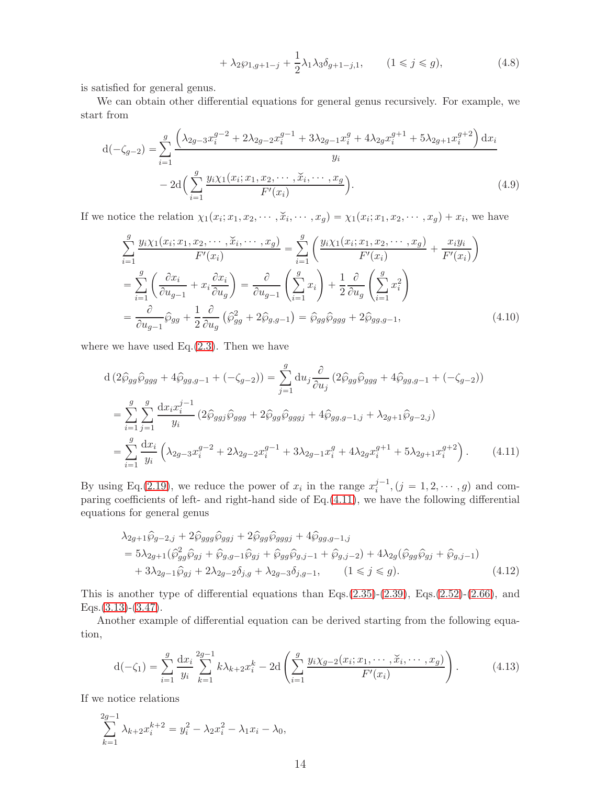$$
+\lambda_2\wp_{1,g+1-j}+\frac{1}{2}\lambda_1\lambda_3\delta_{g+1-j,1},\qquad(1\leqslant j\leqslant g),\qquad(4.8)
$$

is satisfied for general genus.

We can obtain other differential equations for general genus recursively. For example, we start from

$$
d(-\zeta_{g-2}) = \sum_{i=1}^{g} \frac{\left(\lambda_{2g-3}x_i^{g-2} + 2\lambda_{2g-2}x_i^{g-1} + 3\lambda_{2g-1}x_i^g + 4\lambda_{2g}x_i^{g+1} + 5\lambda_{2g+1}x_i^{g+2}\right)dx_i}{y_i}
$$

$$
- 2d\left(\sum_{i=1}^{g} \frac{y_i\chi_1(x_i; x_1, x_2, \cdots, \check{x}_i, \cdots, x_g}{F'(x_i)}\right). \tag{4.9}
$$

If we notice the relation  $\chi_1(x_i; x_1, x_2, \dots, \check{x}_i, \dots, x_g) = \chi_1(x_i; x_1, x_2, \dots, x_g) + x_i$ , we have

$$
\sum_{i=1}^{g} \frac{y_i \chi_1(x_i; x_1, x_2, \cdots, \check{x}_i, \cdots, x_g)}{F'(x_i)} = \sum_{i=1}^{g} \left( \frac{y_i \chi_1(x_i; x_1, x_2, \cdots, x_g)}{F'(x_i)} + \frac{x_i y_i}{F'(x_i)} \right)
$$
\n
$$
= \sum_{i=1}^{g} \left( \frac{\partial x_i}{\partial u_{g-1}} + x_i \frac{\partial x_i}{\partial u_g} \right) = \frac{\partial}{\partial u_{g-1}} \left( \sum_{i=1}^{g} x_i \right) + \frac{1}{2} \frac{\partial}{\partial u_g} \left( \sum_{i=1}^{g} x_i^2 \right)
$$
\n
$$
= \frac{\partial}{\partial u_{g-1}} \widehat{\wp}_{gg} + \frac{1}{2} \frac{\partial}{\partial u_g} \left( \widehat{\wp}_{gg}^2 + 2 \widehat{\wp}_{g,g-1} \right) = \widehat{\wp}_{gg} \widehat{\wp}_{ggg} + 2 \widehat{\wp}_{gg,g-1}, \tag{4.10}
$$

where we have used Eq. $(2.3)$ . Then we have

$$
d (2\hat{\wp}_{gg}\hat{\wp}_{ggg} + 4\hat{\wp}_{gg,g-1} + (-\zeta_{g-2})) = \sum_{j=1}^{g} du_j \frac{\partial}{\partial u_j} (2\hat{\wp}_{gg}\hat{\wp}_{ggg} + 4\hat{\wp}_{gg,g-1} + (-\zeta_{g-2}))
$$
  
\n
$$
= \sum_{i=1}^{g} \sum_{j=1}^{g} \frac{dx_i x_i^{j-1}}{y_i} (2\hat{\wp}_{ggj}\hat{\wp}_{ggg} + 2\hat{\wp}_{gg}\hat{\wp}_{gggj} + 4\hat{\wp}_{gg,g-1,j} + \lambda_{2g+1}\hat{\wp}_{g-2,j})
$$
  
\n
$$
= \sum_{i=1}^{g} \frac{dx_i}{y_i} \left( \lambda_{2g-3} x_i^{g-2} + 2\lambda_{2g-2} x_i^{g-1} + 3\lambda_{2g-1} x_i^g + 4\lambda_{2g} x_i^{g+1} + 5\lambda_{2g+1} x_i^{g+2} \right).
$$
 (4.11)

By using Eq.[\(2.19\)](#page-3-5), we reduce the power of  $x_i$  in the range  $x_i^{j-1}$  $j^{-1}$ ,  $(j = 1, 2, \dots, g)$  and comparing coefficients of left- and right-hand side of Eq.[\(4.11\)](#page-13-0), we have the following differential equations for general genus

<span id="page-13-1"></span><span id="page-13-0"></span>
$$
\lambda_{2g+1}\hat{\wp}_{g-2,j} + 2\hat{\wp}_{ggg}\hat{\wp}_{ggj} + 2\hat{\wp}_{ggg}\hat{\wp}_{gggj} + 4\hat{\wp}_{gg,g-1,j}
$$
  
=  $5\lambda_{2g+1}(\hat{\wp}_{gg}^2\hat{\wp}_{gj} + \hat{\wp}_{g,g-1}\hat{\wp}_{gj} + \hat{\wp}_{gg}\hat{\wp}_{g,j-1} + \hat{\wp}_{g,j-2}) + 4\lambda_{2g}(\hat{\wp}_{gg}\hat{\wp}_{gj} + \hat{\wp}_{g,j-1})$   
+  $3\lambda_{2g-1}\hat{\wp}_{gj} + 2\lambda_{2g-2}\hat{\phi}_{j,g} + \lambda_{2g-3}\hat{\delta}_{j,g-1},$   $(1 \le j \le g).$  (4.12)

This is another type of differential equations than Eqs. $(2.35)-(2.39)$  $(2.35)-(2.39)$  $(2.35)-(2.39)$ , Eqs. $(2.52)-(2.66)$  $(2.52)-(2.66)$  $(2.52)-(2.66)$ , and  $Eqs.$  [\(3.13\)](#page-9-0)-[\(3.47\)](#page-11-0).

Another example of differential equation can be derived starting from the following equation,

$$
d(-\zeta_1) = \sum_{i=1}^{g} \frac{dx_i}{y_i} \sum_{k=1}^{2g-1} k \lambda_{k+2} x_i^k - 2d \left( \sum_{i=1}^{g} \frac{y_i \chi_{g-2}(x_i; x_1, \cdots, \check{x}_i, \cdots, x_g)}{F'(x_i)} \right).
$$
 (4.13)

If we notice relations

$$
\sum_{k=1}^{2g-1} \lambda_{k+2} x_i^{k+2} = y_i^2 - \lambda_2 x_i^2 - \lambda_1 x_i - \lambda_0,
$$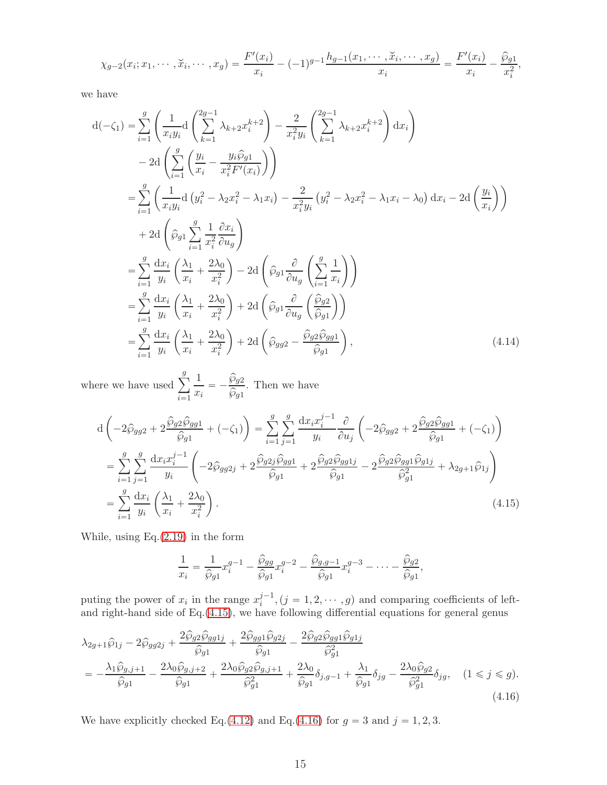$$
\chi_{g-2}(x_i; x_1, \cdots, \check{x}_i, \cdots, x_g) = \frac{F'(x_i)}{x_i} - (-1)^{g-1} \frac{h_{g-1}(x_1, \cdots, \check{x}_i, \cdots, x_g)}{x_i} = \frac{F'(x_i)}{x_i} - \frac{\hat{\wp}_{g1}}{x_i^2},
$$

we have

$$
d(-\zeta_1) = \sum_{i=1}^{g} \left( \frac{1}{x_i y_i} d \left( \sum_{k=1}^{2g-1} \lambda_{k+2} x_i^{k+2} \right) - \frac{2}{x_i^2 y_i} \left( \sum_{k=1}^{2g-1} \lambda_{k+2} x_i^{k+2} \right) dx_i \right)
$$
  
\n
$$
- 2d \left( \sum_{i=1}^{g} \left( \frac{y_i}{x_i} - \frac{y_i \hat{\wp}_{g_1}}{x_i^2 F'(x_i)} \right) \right)
$$
  
\n
$$
= \sum_{i=1}^{g} \left( \frac{1}{x_i y_i} d \left( y_i^2 - \lambda_2 x_i^2 - \lambda_1 x_i \right) - \frac{2}{x_i^2 y_i} \left( y_i^2 - \lambda_2 x_i^2 - \lambda_1 x_i - \lambda_0 \right) dx_i - 2d \left( \frac{y_i}{x_i} \right) \right)
$$
  
\n
$$
+ 2d \left( \hat{\wp}_{g_1} \sum_{i=1}^{g} \frac{1}{x_i^2} \frac{\partial x_i}{\partial u_g} \right)
$$
  
\n
$$
= \sum_{i=1}^{g} \frac{dx_i}{y_i} \left( \frac{\lambda_1}{x_i} + \frac{2\lambda_0}{x_i^2} \right) - 2d \left( \hat{\wp}_{g_1} \frac{\partial}{\partial u_g} \left( \sum_{i=1}^{g} \frac{1}{x_i} \right) \right)
$$
  
\n
$$
= \sum_{i=1}^{g} \frac{dx_i}{y_i} \left( \frac{\lambda_1}{x_i} + \frac{2\lambda_0}{x_i^2} \right) + 2d \left( \hat{\wp}_{g_1} \frac{\partial}{\partial u_g} \left( \frac{\hat{\wp}_{g_2}}{\hat{\wp}_{g_1}} \right) \right)
$$
  
\n
$$
= \sum_{i=1}^{g} \frac{dx_i}{y_i} \left( \frac{\lambda_1}{x_i} + \frac{2\lambda_0}{x_i^2} \right) + 2d \left( \hat{\wp}_{g_2} - \frac{\hat{\wp}_{g_2} \hat{\wp}_{g_2}}{\hat{\wp}_{g_1}} \right), \qquad (4.14)
$$

where we have used  $\sum_{i=1}^{g}$  $\sum_{i=1}$ 1  $rac{1}{x_i} = -\frac{\widehat{\wp}_{g2}}{\widehat{\wp}_{g1}}$  $rac{\widehat{\wp}_g}{\widehat{\wp}_g}$ . Then we have

$$
d\left(-2\hat{\wp}_{gg2} + 2\frac{\hat{\wp}_{g2}\hat{\wp}_{gg1}}{\hat{\wp}_{g1}} + (-\zeta_{1})\right) = \sum_{i=1}^{g} \sum_{j=1}^{g} \frac{dx_{i}x_{i}^{j-1}}{y_{i}} \frac{\partial}{\partial u_{j}} \left(-2\hat{\wp}_{gg2} + 2\frac{\hat{\wp}_{g2}\hat{\wp}_{gg1}}{\hat{\wp}_{g1}} + (-\zeta_{1})\right)
$$
  
\n
$$
= \sum_{i=1}^{g} \sum_{j=1}^{g} \frac{dx_{i}x_{i}^{j-1}}{y_{i}} \left(-2\hat{\wp}_{gg2j} + 2\frac{\hat{\wp}_{g2j}\hat{\wp}_{gg1}}{\hat{\wp}_{g1}} + 2\frac{\hat{\wp}_{g2}\hat{\wp}_{gg1j}}{\hat{\wp}_{g1}} - 2\frac{\hat{\wp}_{g2}\hat{\wp}_{gg1}\hat{\wp}_{g1j}}{\hat{\wp}_{g1}^{2}} + \lambda_{2g+1}\hat{\wp}_{1j}\right)
$$
  
\n
$$
= \sum_{i=1}^{g} \frac{dx_{i}}{y_{i}} \left(\frac{\lambda_{1}}{x_{i}} + \frac{2\lambda_{0}}{x_{i}^{2}}\right).
$$
(4.15)

While, using Eq.[\(2.19\)](#page-3-5) in the form

<span id="page-14-1"></span><span id="page-14-0"></span>
$$
\frac{1}{x_i} = \frac{1}{\widehat{\wp}_{g1}} x_i^{g-1} - \frac{\widehat{\wp}_{gg}}{\widehat{\wp}_{g1}} x_i^{g-2} - \frac{\widehat{\wp}_{g,g-1}}{\widehat{\wp}_{g1}} x_i^{g-3} - \dots - \frac{\widehat{\wp}_{g2}}{\widehat{\wp}_{g1}},
$$

puting the power of  $x_i$  in the range  $x_i^{j-1}$  $j^{-1}$ ,  $(j = 1, 2, \dots, g)$  and comparing coefficients of leftand right-hand side of Eq.[\(4.15\)](#page-14-0), we have following differential equations for general genus

$$
\lambda_{2g+1}\hat{\wp}_{1j} - 2\hat{\wp}_{gg2j} + \frac{2\hat{\wp}_{g2}\hat{\wp}_{gg1j}}{\hat{\wp}_{g1}} + \frac{2\hat{\wp}_{gg1}\hat{\wp}_{g2j}}{\hat{\wp}_{g1}} - \frac{2\hat{\wp}_{g2}\hat{\wp}_{gg1}\hat{\wp}_{g1j}}{\hat{\wp}_{g1}^2}
$$
\n
$$
= -\frac{\lambda_1\hat{\wp}_{g,j+1}}{\hat{\wp}_{g1}} - \frac{2\lambda_0\hat{\wp}_{g,j+2}}{\hat{\wp}_{g1}} + \frac{2\lambda_0\hat{\wp}_{g2}\hat{\wp}_{g,j+1}}{\hat{\wp}_{g1}^2} + \frac{2\lambda_0}{\hat{\wp}_{g1}}\hat{\wp}_{g,j+1} + \frac{2\lambda_0}{\hat{\wp}_{g1}}\hat{\wp}_{g,j+1} + \frac{\lambda_1}{\hat{\wp}_{g1}}\hat{\wp}_{g1} - \frac{2\lambda_0\hat{\wp}_{g2}}{\hat{\wp}_{g1}^2}\hat{\delta}_{jg}, \quad (1 \le j \le g). \tag{4.16}
$$

We have explicitly checked Eq.[\(4.12\)](#page-13-1) and Eq.[\(4.16\)](#page-14-1) for  $g = 3$  and  $j = 1, 2, 3$ .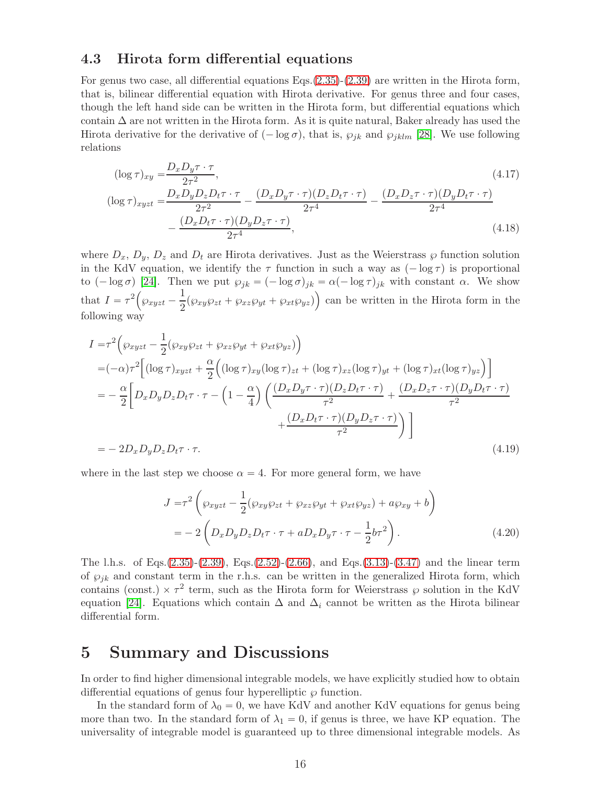#### 4.3 Hirota form differential equations

For genus two case, all differential equations Eqs.[\(2.35\)](#page-5-1)-[\(2.39\)](#page-5-2) are written in the Hirota form, that is, bilinear differential equation with Hirota derivative. For genus three and four cases, though the left hand side can be written in the Hirota form, but differential equations which contain  $\Delta$  are not written in the Hirota form. As it is quite natural, Baker already has used the Hirota derivative for the derivative of  $(-\log \sigma)$ , that is,  $\wp_{jk}$  and  $\wp_{jklm}$  [\[28\]](#page-17-16). We use following relations

$$
(\log \tau)_{xy} = \frac{D_x D_y \tau \cdot \tau}{2\tau^2},
$$
\n
$$
(\log \tau)_{xyzt} = \frac{D_x D_y D_z D_t \tau \cdot \tau}{2\tau^2} - \frac{(D_x D_y \tau \cdot \tau)(D_z D_t \tau \cdot \tau)}{2\tau^4} - \frac{(D_x D_z \tau \cdot \tau)(D_y D_t \tau \cdot \tau)}{2\tau^4}
$$
\n
$$
-\frac{(D_x D_t \tau \cdot \tau)(D_y D_z \tau \cdot \tau)}{2\tau^4},
$$
\n(4.18)

where  $D_x$ ,  $D_y$ ,  $D_z$  and  $D_t$  are Hirota derivatives. Just as the Weierstrass  $\wp$  function solution in the KdV equation, we identify the  $\tau$  function in such a way as  $(-\log \tau)$  is proportional to  $(-\log \sigma)$  [\[24\]](#page-17-18). Then we put  $\wp_{jk} = (-\log \sigma)_{jk} = \alpha(-\log \tau)_{jk}$  with constant  $\alpha$ . We show that  $I = \tau^2 \left( \wp_{xyzt} - \frac{1}{2} \right)$  $\frac{1}{2}(\wp_{xy}\wp_{zt} + \wp_{xz}\wp_{yt} + \wp_{xt}\wp_{yz})$  can be written in the Hirota form in the following way

$$
I = \tau^2 \left( \wp_{xyzt} - \frac{1}{2} (\wp_{xy}\wp_{zt} + \wp_{xz}\wp_{yt} + \wp_{xt}\wp_{yz}) \right)
$$
  
\n
$$
= (-\alpha)\tau^2 \left[ (\log \tau)_{xyzt} + \frac{\alpha}{2} \left( (\log \tau)_{xy} (\log \tau)_{zt} + (\log \tau)_{xz} (\log \tau)_{yt} + (\log \tau)_{xt} (\log \tau)_{yz} \right) \right]
$$
  
\n
$$
= -\frac{\alpha}{2} \left[ D_x D_y D_z D_t \tau \cdot \tau - \left( 1 - \frac{\alpha}{4} \right) \left( \frac{(D_x D_y \tau \cdot \tau)(D_z D_t \tau \cdot \tau)}{\tau^2} + \frac{(D_x D_z \tau \cdot \tau)(D_y D_t \tau \cdot \tau)}{\tau^2} \right) \right]
$$
  
\n
$$
= -2D_x D_y D_z D_t \tau \cdot \tau.
$$
\n(4.19)

where in the last step we choose  $\alpha = 4$ . For more general form, we have

$$
J = \tau^2 \left( \wp_{xyzt} - \frac{1}{2} (\wp_{xy} \wp_{zt} + \wp_{xz} \wp_{yt} + \wp_{xt} \wp_{yz}) + a \wp_{xy} + b \right)
$$
  
= 
$$
- 2 \left( D_x D_y D_z D_t \tau \cdot \tau + a D_x D_y \tau \cdot \tau - \frac{1}{2} b \tau^2 \right).
$$
 (4.20)

The l.h.s. of Eqs.[\(2.35\)](#page-5-1)-[\(2.39\)](#page-5-2), Eqs.[\(2.52\)](#page-6-0)-[\(2.66\)](#page-7-0), and Eqs.[\(3.13\)](#page-9-0)-[\(3.47\)](#page-11-0) and the linear term of  $\wp_{jk}$  and constant term in the r.h.s. can be written in the generalized Hirota form, which contains (const.)  $\times \tau^2$  term, such as the Hirota form for Weierstrass  $\wp$  solution in the KdV equation [\[24\]](#page-17-18). Equations which contain  $\Delta$  and  $\Delta_i$  cannot be written as the Hirota bilinear differential form.

## 5 Summary and Discussions

In order to find higher dimensional integrable models, we have explicitly studied how to obtain differential equations of genus four hyperelliptic  $\wp$  function.

In the standard form of  $\lambda_0 = 0$ , we have KdV and another KdV equations for genus being more than two. In the standard form of  $\lambda_1 = 0$ , if genus is three, we have KP equation. The universality of integrable model is guaranteed up to three dimensional integrable models. As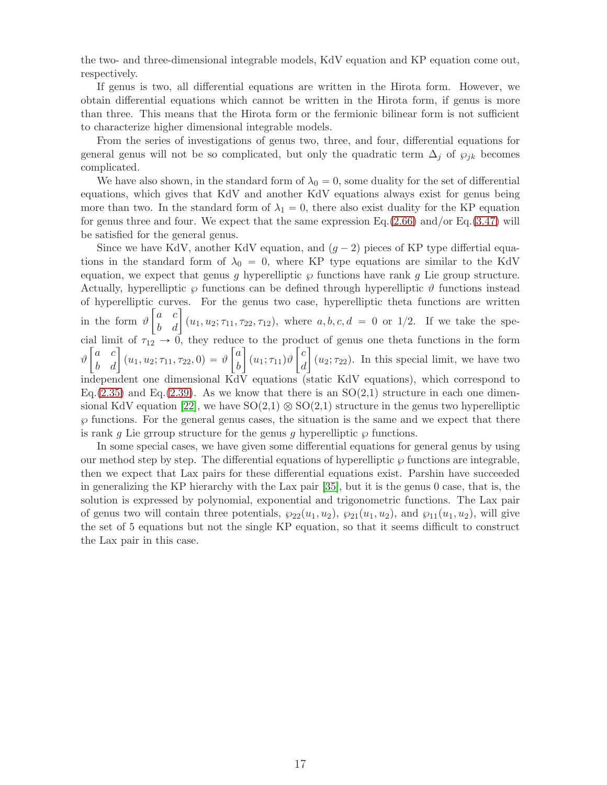the two- and three-dimensional integrable models, KdV equation and KP equation come out, respectively.

If genus is two, all differential equations are written in the Hirota form. However, we obtain differential equations which cannot be written in the Hirota form, if genus is more than three. This means that the Hirota form or the fermionic bilinear form is not sufficient to characterize higher dimensional integrable models.

From the series of investigations of genus two, three, and four, differential equations for general genus will not be so complicated, but only the quadratic term  $\Delta_i$  of  $\wp_{ik}$  becomes complicated.

We have also shown, in the standard form of  $\lambda_0 = 0$ , some duality for the set of differential equations, which gives that KdV and another KdV equations always exist for genus being more than two. In the standard form of  $\lambda_1 = 0$ , there also exist duality for the KP equation for genus three and four. We expect that the same expression Eq.[\(2.66\)](#page-7-0) and/or Eq.[\(3.47\)](#page-11-0) will be satisfied for the general genus.

Since we have KdV, another KdV equation, and  $(g - 2)$  pieces of KP type differtial equations in the standard form of  $\lambda_0 = 0$ , where KP type equations are similar to the KdV equation, we expect that genus g hyperelliptic  $\wp$  functions have rank g Lie group structure. Actually, hyperelliptic  $\wp$  functions can be defined through hyperelliptic  $\vartheta$  functions instead of hyperelliptic curves. For the genus two case, hyperelliptic theta functions are written in the form  $\vartheta$  $\begin{bmatrix} a & c \\ b & d \end{bmatrix}$   $(u_1, u_2; \tau_{11}, \tau_{22}, \tau_{12})$ , where  $a, b, c, d = 0$  or 1/2. If we take the special limit of  $\tau_{12} \rightarrow 0$ , they reduce to the product of genus one theta functions in the form  $\vartheta$  $\begin{bmatrix} a & c \\ b & d \end{bmatrix}$   $(u_1, u_2; \tau_{11}, \tau_{22}, 0) = \vartheta$  $\lceil a \rceil$ b 1  $(u_1; \tau_{11})\vartheta$  $\lceil c \rceil$ d 1  $(u_2; \tau_{22})$ . In this special limit, we have two independent one dimensional KdV equations (static KdV equations), which correspond to Eq.[\(2.35\)](#page-5-1) and Eq.[\(2.39\)](#page-5-2). As we know that there is an  $SO(2,1)$  structure in each one dimen-sional KdV equation [\[22\]](#page-17-19), we have  $SO(2,1) \otimes SO(2,1)$  structure in the genus two hyperelliptic  $\wp$  functions. For the general genus cases, the situation is the same and we expect that there is rank q Lie group structure for the genus q hyperelliptic  $\wp$  functions.

In some special cases, we have given some differential equations for general genus by using our method step by step. The differential equations of hyperelliptic  $\varphi$  functions are integrable, then we expect that Lax pairs for these differential equations exist. Parshin have succeeded in generalizing the KP hierarchy with the Lax pair [\[35\]](#page-18-6), but it is the genus 0 case, that is, the solution is expressed by polynomial, exponential and trigonometric functions. The Lax pair of genus two will contain three potentials,  $\wp_{22}(u_1, u_2)$ ,  $\wp_{21}(u_1, u_2)$ , and  $\wp_{11}(u_1, u_2)$ , will give the set of 5 equations but not the single KP equation, so that it seems difficult to construct the Lax pair in this case.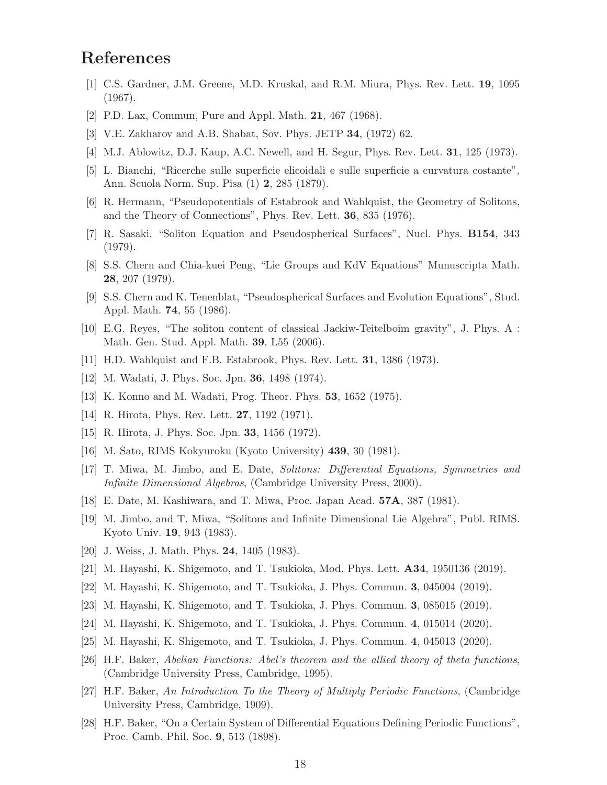## <span id="page-17-0"></span>References

- [1] C.S. Gardner, J.M. Greene, M.D. Kruskal, and R.M. Miura, Phys. Rev. Lett. 19, 1095 (1967).
- <span id="page-17-1"></span>[2] P.D. Lax, Commun, Pure and Appl. Math. 21, 467 (1968).
- <span id="page-17-2"></span>[3] V.E. Zakharov and A.B. Shabat, Sov. Phys. JETP 34, (1972) 62.
- <span id="page-17-3"></span>[4] M.J. Ablowitz, D.J. Kaup, A.C. Newell, and H. Segur, Phys. Rev. Lett. 31, 125 (1973).
- <span id="page-17-15"></span>[5] L. Bianchi, "Ricerche sulle superficie elicoidali e sulle superficie a curvatura costante", Ann. Scuola Norm. Sup. Pisa (1) 2, 285 (1879).
- [6] R. Hermann, "Pseudopotentials of Estabrook and Wahlquist, the Geometry of Solitons, and the Theory of Connections", Phys. Rev. Lett. 36, 835 (1976).
- [7] R. Sasaki, "Soliton Equation and Pseudospherical Surfaces", Nucl. Phys. B154, 343 (1979).
- [8] S.S. Chern and Chia-kuei Peng, "Lie Groups and KdV Equations" Munuscripta Math. 28, 207 (1979).
- [9] S.S. Chern and K. Tenenblat, "Pseudospherical Surfaces and Evolution Equations", Stud. Appl. Math. 74, 55 (1986).
- <span id="page-17-5"></span><span id="page-17-4"></span>[10] E.G. Reyes, "The soliton content of classical Jackiw-Teitelboim gravity", J. Phys. A : Math. Gen. Stud. Appl. Math. 39, L55 (2006).
- [11] H.D. Wahlquist and F.B. Estabrook, Phys. Rev. Lett. 31, 1386 (1973).
- <span id="page-17-6"></span>[12] M. Wadati, J. Phys. Soc. Jpn. 36, 1498 (1974).
- <span id="page-17-7"></span>[13] K. Konno and M. Wadati, Prog. Theor. Phys. 53, 1652 (1975).
- <span id="page-17-8"></span>[14] R. Hirota, Phys. Rev. Lett. 27, 1192 (1971).
- <span id="page-17-9"></span>[15] R. Hirota, J. Phys. Soc. Jpn. 33, 1456 (1972).
- <span id="page-17-10"></span>[16] M. Sato, RIMS Kokyuroku (Kyoto University) 439, 30 (1981).
- [17] T. Miwa, M. Jimbo, and E. Date, Solitons: Differential Equations, Symmetries and Infinite Dimensional Algebras, (Cambridge University Press, 2000).
- <span id="page-17-11"></span>[18] E. Date, M. Kashiwara, and T. Miwa, Proc. Japan Acad. 57A, 387 (1981).
- <span id="page-17-12"></span>[19] M. Jimbo, and T. Miwa, "Solitons and Infinite Dimensional Lie Algebra", Publ. RIMS. Kyoto Univ. 19, 943 (1983).
- <span id="page-17-13"></span>[20] J. Weiss, J. Math. Phys. 24, 1405 (1983).
- <span id="page-17-19"></span>[21] M. Hayashi, K. Shigemoto, and T. Tsukioka, Mod. Phys. Lett. A34, 1950136 (2019).
- [22] M. Hayashi, K. Shigemoto, and T. Tsukioka, J. Phys. Commun. 3, 045004 (2019).
- <span id="page-17-18"></span>[23] M. Hayashi, K. Shigemoto, and T. Tsukioka, J. Phys. Commun. 3, 085015 (2019).
- <span id="page-17-14"></span>[24] M. Hayashi, K. Shigemoto, and T. Tsukioka, J. Phys. Commun. 4, 015014 (2020).
- <span id="page-17-17"></span>[25] M. Hayashi, K. Shigemoto, and T. Tsukioka, J. Phys. Commun. 4, 045013 (2020).
- [26] H.F. Baker, Abelian Functions: Abel's theorem and the allied theory of theta functions, (Cambridge University Press, Cambridge, 1995).
- [27] H.F. Baker, An Introduction To the Theory of Multiply Periodic Functions, (Cambridge University Press, Cambridge, 1909).
- <span id="page-17-16"></span>[28] H.F. Baker, "On a Certain System of Differential Equations Defining Periodic Functions", Proc. Camb. Phil. Soc. 9, 513 (1898).